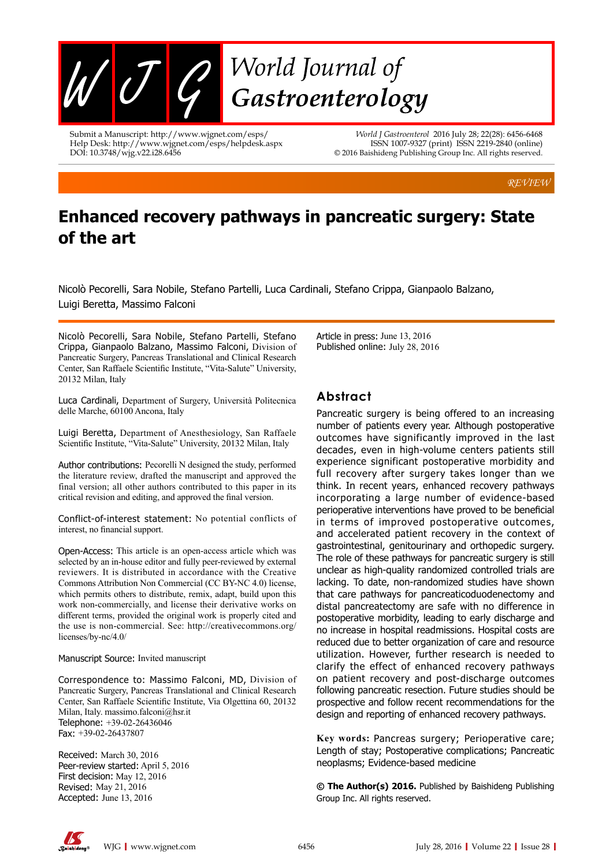

Submit a Manuscript: http://www.wjgnet.com/esps/ Help Desk: http://www.wjgnet.com/esps/helpdesk.aspx DOI: 10.3748/wjg.v22.i28.6456

*World J Gastroenterol* 2016 July 28; 22(28): 6456-6468 ISSN 1007-9327 (print) ISSN 2219-2840 (online) © 2016 Baishideng Publishing Group Inc. All rights reserved.

*REVIEW*

# **Enhanced recovery pathways in pancreatic surgery: State of the art**

Nicolò Pecorelli, Sara Nobile, Stefano Partelli, Luca Cardinali, Stefano Crippa, Gianpaolo Balzano, Luigi Beretta, Massimo Falconi

Nicolò Pecorelli, Sara Nobile, Stefano Partelli, Stefano Crippa, Gianpaolo Balzano, Massimo Falconi, Division of Pancreatic Surgery, Pancreas Translational and Clinical Research Center, San Raffaele Scientific Institute, "Vita-Salute" University, 20132 Milan, Italy

Luca Cardinali, Department of Surgery, Università Politecnica delle Marche, 60100 Ancona, Italy

Luigi Beretta, Department of Anesthesiology, San Raffaele Scientific Institute, "Vita-Salute" University, 20132 Milan, Italy

Author contributions: Pecorelli N designed the study, performed the literature review, drafted the manuscript and approved the final version; all other authors contributed to this paper in its critical revision and editing, and approved the final version.

Conflict-of-interest statement: No potential conflicts of interest, no financial support.

Open-Access: This article is an open-access article which was selected by an in-house editor and fully peer-reviewed by external reviewers. It is distributed in accordance with the Creative Commons Attribution Non Commercial (CC BY-NC 4.0) license, which permits others to distribute, remix, adapt, build upon this work non-commercially, and license their derivative works on different terms, provided the original work is properly cited and the use is non-commercial. See: http://creativecommons.org/ licenses/by-nc/4.0/

Manuscript Source: Invited manuscript

Correspondence to: Massimo Falconi, MD, Division of Pancreatic Surgery, Pancreas Translational and Clinical Research Center, San Raffaele Scientific Institute, Via Olgettina 60, 20132 Milan, Italy. massimo.falconi@hsr.it Telephone: +39-02-26436046 Fax: +39-02-26437807

Received: March 30, 2016 Peer-review started: April 5, 2016 First decision: May 12, 2016 Revised: May 21, 2016 Accepted: June 13, 2016

Article in press: June 13, 2016 Published online: July 28, 2016

## **Abstract**

Pancreatic surgery is being offered to an increasing number of patients every year. Although postoperative outcomes have significantly improved in the last decades, even in high-volume centers patients still experience significant postoperative morbidity and full recovery after surgery takes longer than we think. In recent years, enhanced recovery pathways incorporating a large number of evidence-based perioperative interventions have proved to be beneficial in terms of improved postoperative outcomes, and accelerated patient recovery in the context of gastrointestinal, genitourinary and orthopedic surgery. The role of these pathways for pancreatic surgery is still unclear as high-quality randomized controlled trials are lacking. To date, non-randomized studies have shown that care pathways for pancreaticoduodenectomy and distal pancreatectomy are safe with no difference in postoperative morbidity, leading to early discharge and no increase in hospital readmissions. Hospital costs are reduced due to better organization of care and resource utilization. However, further research is needed to clarify the effect of enhanced recovery pathways on patient recovery and post-discharge outcomes following pancreatic resection. Future studies should be prospective and follow recent recommendations for the design and reporting of enhanced recovery pathways.

**Key words:** Pancreas surgery; Perioperative care; Length of stay; Postoperative complications; Pancreatic neoplasms; Evidence-based medicine

**© The Author(s) 2016.** Published by Baishideng Publishing Group Inc. All rights reserved.

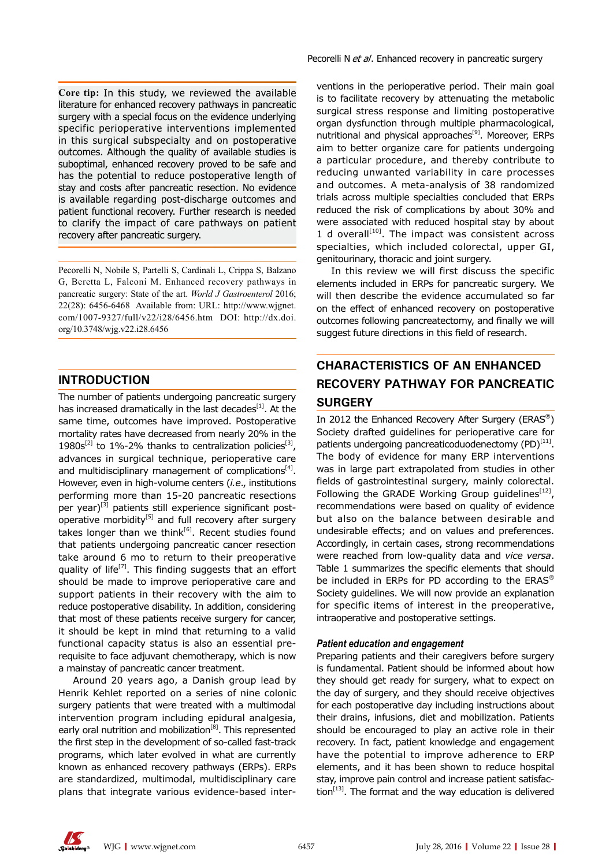**Core tip:** In this study, we reviewed the available literature for enhanced recovery pathways in pancreatic surgery with a special focus on the evidence underlying specific perioperative interventions implemented in this surgical subspecialty and on postoperative outcomes. Although the quality of available studies is suboptimal, enhanced recovery proved to be safe and has the potential to reduce postoperative length of stay and costs after pancreatic resection. No evidence is available regarding post-discharge outcomes and patient functional recovery. Further research is needed to clarify the impact of care pathways on patient recovery after pancreatic surgery.

Pecorelli N, Nobile S, Partelli S, Cardinali L, Crippa S, Balzano G, Beretta L, Falconi M. Enhanced recovery pathways in pancreatic surgery: State of the art. *World J Gastroenterol* 2016; 22(28): 6456-6468 Available from: URL: http://www.wjgnet. com/1007-9327/full/v22/i28/6456.htm DOI: http://dx.doi. org/10.3748/wjg.v22.i28.6456

## **INTRODUCTION**

The number of patients undergoing pancreatic surgery has increased dramatically in the last decades $[1]$ . At the same time, outcomes have improved. Postoperative mortality rates have decreased from nearly 20% in the 1980s<sup>[2]</sup> to 1%-2% thanks to centralization policies<sup>[3]</sup>, advances in surgical technique, perioperative care and multidisciplinary management of complications $[4]$ . However, even in high-volume centers (*i.e*., institutions performing more than 15-20 pancreatic resections per year) $[3]$  patients still experience significant postoperative morbidity<sup>[5]</sup> and full recovery after surgery takes longer than we think<sup>[6]</sup>. Recent studies found that patients undergoing pancreatic cancer resection take around 6 mo to return to their preoperative quality of life<sup>[7]</sup>. This finding suggests that an effort should be made to improve perioperative care and support patients in their recovery with the aim to reduce postoperative disability. In addition, considering that most of these patients receive surgery for cancer, it should be kept in mind that returning to a valid functional capacity status is also an essential prerequisite to face adjuvant chemotherapy, which is now a mainstay of pancreatic cancer treatment.

Around 20 years ago, a Danish group lead by Henrik Kehlet reported on a series of nine colonic surgery patients that were treated with a multimodal intervention program including epidural analgesia, early oral nutrition and mobilization<sup>[8]</sup>. This represented the first step in the development of so-called fast-track programs, which later evolved in what are currently known as enhanced recovery pathways (ERPs). ERPs are standardized, multimodal, multidisciplinary care plans that integrate various evidence-based interventions in the perioperative period. Their main goal is to facilitate recovery by attenuating the metabolic surgical stress response and limiting postoperative organ dysfunction through multiple pharmacological, nutritional and physical approaches<sup>[9]</sup>. Moreover, ERPs aim to better organize care for patients undergoing a particular procedure, and thereby contribute to reducing unwanted variability in care processes and outcomes. A meta-analysis of 38 randomized trials across multiple specialties concluded that ERPs reduced the risk of complications by about 30% and were associated with reduced hospital stay by about 1 d overall<sup>[10]</sup>. The impact was consistent across specialties, which included colorectal, upper GI, genitourinary, thoracic and joint surgery.

In this review we will first discuss the specific elements included in ERPs for pancreatic surgery. We will then describe the evidence accumulated so far on the effect of enhanced recovery on postoperative outcomes following pancreatectomy, and finally we will suggest future directions in this field of research.

## **CHARACTERISTICS OF AN ENHANCED RECOVERY PATHWAY FOR PANCREATIC SURGERY**

In 2012 the Enhanced Recovery After Surgery (ERAS®) Society drafted guidelines for perioperative care for patients undergoing pancreaticoduodenectomy  $(PD)^{[11]}$ . The body of evidence for many ERP interventions was in large part extrapolated from studies in other fields of gastrointestinal surgery, mainly colorectal. Following the GRADE Working Group quidelines<sup>[12]</sup>, recommendations were based on quality of evidence but also on the balance between desirable and undesirable effects; and on values and preferences. Accordingly, in certain cases, strong recommendations were reached from low-quality data and *vice versa*. Table 1 summarizes the specific elements that should be included in ERPs for PD according to the ERAS<sup>®</sup> Society guidelines. We will now provide an explanation for specific items of interest in the preoperative, intraoperative and postoperative settings.

## *Patient education and engagement*

Preparing patients and their caregivers before surgery is fundamental. Patient should be informed about how they should get ready for surgery, what to expect on the day of surgery, and they should receive objectives for each postoperative day including instructions about their drains, infusions, diet and mobilization. Patients should be encouraged to play an active role in their recovery. In fact, patient knowledge and engagement have the potential to improve adherence to ERP elements, and it has been shown to reduce hospital stay, improve pain control and increase patient satisfaction $[13]$ . The format and the way education is delivered

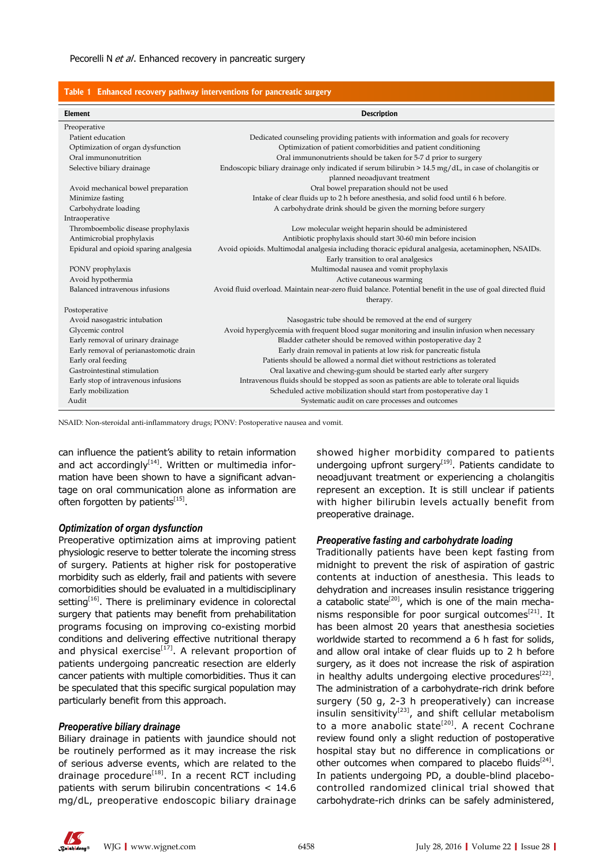| Table 1 Enhanced recovery pathway interventions for pancreatic surgery |                                                                                                             |  |  |  |  |  |  |
|------------------------------------------------------------------------|-------------------------------------------------------------------------------------------------------------|--|--|--|--|--|--|
| Element                                                                | <b>Description</b>                                                                                          |  |  |  |  |  |  |
| Preoperative                                                           |                                                                                                             |  |  |  |  |  |  |
| Patient education                                                      | Dedicated counseling providing patients with information and goals for recovery                             |  |  |  |  |  |  |
| Optimization of organ dysfunction                                      | Optimization of patient comorbidities and patient conditioning                                              |  |  |  |  |  |  |
| Oral immunonutrition                                                   | Oral immunonutrients should be taken for 5-7 d prior to surgery                                             |  |  |  |  |  |  |
| Selective biliary drainage                                             | Endoscopic biliary drainage only indicated if serum bilirubin $> 14.5$ mg/dL, in case of cholangitis or     |  |  |  |  |  |  |
|                                                                        | planned neoadjuvant treatment                                                                               |  |  |  |  |  |  |
| Avoid mechanical bowel preparation                                     | Oral bowel preparation should not be used                                                                   |  |  |  |  |  |  |
| Minimize fasting                                                       | Intake of clear fluids up to 2 h before anesthesia, and solid food until 6 h before.                        |  |  |  |  |  |  |
| Carbohydrate loading                                                   | A carbohydrate drink should be given the morning before surgery                                             |  |  |  |  |  |  |
| Intraoperative                                                         |                                                                                                             |  |  |  |  |  |  |
| Thromboembolic disease prophylaxis                                     | Low molecular weight heparin should be administered                                                         |  |  |  |  |  |  |
| Antimicrobial prophylaxis                                              | Antibiotic prophylaxis should start 30-60 min before incision                                               |  |  |  |  |  |  |
| Epidural and opioid sparing analgesia                                  | Avoid opioids. Multimodal analgesia including thoracic epidural analgesia, acetaminophen, NSAIDs.           |  |  |  |  |  |  |
|                                                                        | Early transition to oral analgesics                                                                         |  |  |  |  |  |  |
| PONV prophylaxis                                                       | Multimodal nausea and vomit prophylaxis                                                                     |  |  |  |  |  |  |
| Avoid hypothermia                                                      | Active cutaneous warming                                                                                    |  |  |  |  |  |  |
| Balanced intravenous infusions                                         | Avoid fluid overload. Maintain near-zero fluid balance. Potential benefit in the use of goal directed fluid |  |  |  |  |  |  |
|                                                                        | therapy.                                                                                                    |  |  |  |  |  |  |
| Postoperative                                                          |                                                                                                             |  |  |  |  |  |  |
| Avoid nasogastric intubation                                           | Nasogastric tube should be removed at the end of surgery                                                    |  |  |  |  |  |  |
| Glycemic control                                                       | Avoid hyperglycemia with frequent blood sugar monitoring and insulin infusion when necessary                |  |  |  |  |  |  |
| Early removal of urinary drainage                                      | Bladder catheter should be removed within postoperative day 2                                               |  |  |  |  |  |  |
| Early removal of perianastomotic drain                                 | Early drain removal in patients at low risk for pancreatic fistula                                          |  |  |  |  |  |  |
| Early oral feeding                                                     | Patients should be allowed a normal diet without restrictions as tolerated                                  |  |  |  |  |  |  |
| Gastrointestinal stimulation                                           | Oral laxative and chewing-gum should be started early after surgery                                         |  |  |  |  |  |  |
| Early stop of intravenous infusions                                    | Intravenous fluids should be stopped as soon as patients are able to tolerate oral liquids                  |  |  |  |  |  |  |
| Early mobilization                                                     | Scheduled active mobilization should start from postoperative day 1                                         |  |  |  |  |  |  |
| Audit                                                                  | Systematic audit on care processes and outcomes                                                             |  |  |  |  |  |  |

NSAID: Non-steroidal anti-inflammatory drugs; PONV: Postoperative nausea and vomit.

can influence the patient's ability to retain information and act accordingly<sup>[14]</sup>. Written or multimedia information have been shown to have a significant advantage on oral communication alone as information are often forgotten by patients $^{[15]}$ .

### *Optimization of organ dysfunction*

Preoperative optimization aims at improving patient physiologic reserve to better tolerate the incoming stress of surgery. Patients at higher risk for postoperative morbidity such as elderly, frail and patients with severe comorbidities should be evaluated in a multidisciplinary setting<sup>[16]</sup>. There is preliminary evidence in colorectal surgery that patients may benefit from prehabilitation programs focusing on improving co-existing morbid conditions and delivering effective nutritional therapy and physical exercise<sup>[17]</sup>. A relevant proportion of patients undergoing pancreatic resection are elderly cancer patients with multiple comorbidities. Thus it can be speculated that this specific surgical population may particularly benefit from this approach.

### *Preoperative biliary drainage*

Biliary drainage in patients with jaundice should not be routinely performed as it may increase the risk of serious adverse events, which are related to the drainage procedure<sup>[18]</sup>. In a recent RCT including patients with serum bilirubin concentrations < 14.6 mg/dL, preoperative endoscopic biliary drainage

showed higher morbidity compared to patients undergoing upfront surgery $[19]$ . Patients candidate to neoadjuvant treatment or experiencing a cholangitis represent an exception. It is still unclear if patients with higher bilirubin levels actually benefit from preoperative drainage.

#### *Preoperative fasting and carbohydrate loading*

Traditionally patients have been kept fasting from midnight to prevent the risk of aspiration of gastric contents at induction of anesthesia. This leads to dehydration and increases insulin resistance triggering a catabolic state<sup>[20]</sup>, which is one of the main mechanisms responsible for poor surgical outcomes<sup>[21]</sup>. It has been almost 20 years that anesthesia societies worldwide started to recommend a 6 h fast for solids, and allow oral intake of clear fluids up to 2 h before surgery, as it does not increase the risk of aspiration in healthy adults undergoing elective procedures<sup>[22]</sup>. The administration of a carbohydrate-rich drink before surgery (50 g, 2-3 h preoperatively) can increase insulin sensitivity $[23]$ , and shift cellular metabolism to a more anabolic state<sup>[20]</sup>. A recent Cochrane review found only a slight reduction of postoperative hospital stay but no difference in complications or other outcomes when compared to placebo fluids $[24]$ . In patients undergoing PD, a double-blind placebocontrolled randomized clinical trial showed that carbohydrate-rich drinks can be safely administered,

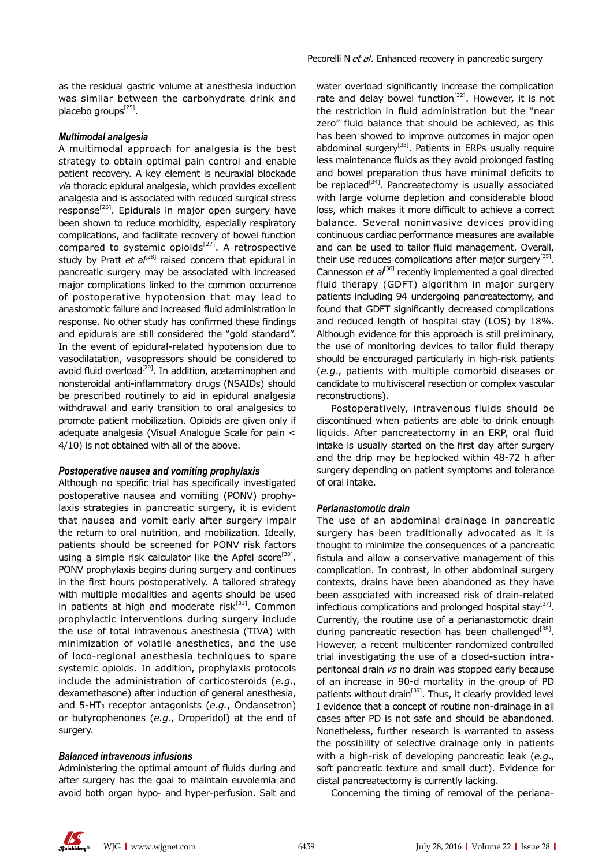as the residual gastric volume at anesthesia induction was similar between the carbohydrate drink and placebo groups $^{[25]}$ .

### *Multimodal analgesia*

A multimodal approach for analgesia is the best strategy to obtain optimal pain control and enable patient recovery. A key element is neuraxial blockade *via* thoracic epidural analgesia, which provides excellent analgesia and is associated with reduced surgical stress response<sup>[26]</sup>. Epidurals in major open surgery have been shown to reduce morbidity, especially respiratory complications, and facilitate recovery of bowel function compared to systemic opioids $[27]$ . A retrospective study by Pratt et al<sup>[28]</sup> raised concern that epidural in pancreatic surgery may be associated with increased major complications linked to the common occurrence of postoperative hypotension that may lead to anastomotic failure and increased fluid administration in response. No other study has confirmed these findings and epidurals are still considered the "gold standard". In the event of epidural-related hypotension due to vasodilatation, vasopressors should be considered to avoid fluid overload<sup>[29]</sup>. In addition, acetaminophen and nonsteroidal anti-inflammatory drugs (NSAIDs) should be prescribed routinely to aid in epidural analgesia withdrawal and early transition to oral analgesics to promote patient mobilization. Opioids are given only if adequate analgesia (Visual Analogue Scale for pain < 4/10) is not obtained with all of the above.

#### *Postoperative nausea and vomiting prophylaxis*

Although no specific trial has specifically investigated postoperative nausea and vomiting (PONV) prophylaxis strategies in pancreatic surgery, it is evident that nausea and vomit early after surgery impair the return to oral nutrition, and mobilization. Ideally, patients should be screened for PONV risk factors using a simple risk calculator like the Apfel score<sup>[30]</sup>. PONV prophylaxis begins during surgery and continues in the first hours postoperatively. A tailored strategy with multiple modalities and agents should be used in patients at high and moderate ris $k^{[31]}$ . Common prophylactic interventions during surgery include the use of total intravenous anesthesia (TIVA) with minimization of volatile anesthetics, and the use of loco-regional anesthesia techniques to spare systemic opioids. In addition, prophylaxis protocols include the administration of corticosteroids (*e.g*., dexamethasone) after induction of general anesthesia, and 5-HT3 receptor antagonists (*e.g.*, Ondansetron) or butyrophenones (*e.g*., Droperidol) at the end of surgery.

#### *Balanced intravenous infusions*

Administering the optimal amount of fluids during and after surgery has the goal to maintain euvolemia and avoid both organ hypo- and hyper-perfusion. Salt and water overload significantly increase the complication rate and delay bowel function<sup>[32]</sup>. However, it is not the restriction in fluid administration but the "near zero" fluid balance that should be achieved, as this has been showed to improve outcomes in major open abdominal surgery<sup>[33]</sup>. Patients in ERPs usually require less maintenance fluids as they avoid prolonged fasting and bowel preparation thus have minimal deficits to be replaced $[34]$ . Pancreatectomy is usually associated with large volume depletion and considerable blood loss, which makes it more difficult to achieve a correct balance. Several noninvasive devices providing continuous cardiac performance measures are available and can be used to tailor fluid management. Overall, their use reduces complications after major surgery<sup>[35]</sup>. Cannesson *et al*[36] recently implemented a goal directed fluid therapy (GDFT) algorithm in major surgery patients including 94 undergoing pancreatectomy, and found that GDFT significantly decreased complications and reduced length of hospital stay (LOS) by 18%. Although evidence for this approach is still preliminary, the use of monitoring devices to tailor fluid therapy should be encouraged particularly in high-risk patients (*e.g*., patients with multiple comorbid diseases or candidate to multivisceral resection or complex vascular reconstructions).

Postoperatively, intravenous fluids should be discontinued when patients are able to drink enough liquids. After pancreatectomy in an ERP, oral fluid intake is usually started on the first day after surgery and the drip may be heplocked within 48-72 h after surgery depending on patient symptoms and tolerance of oral intake.

#### *Perianastomotic drain*

The use of an abdominal drainage in pancreatic surgery has been traditionally advocated as it is thought to minimize the consequences of a pancreatic fistula and allow a conservative management of this complication. In contrast, in other abdominal surgery contexts, drains have been abandoned as they have been associated with increased risk of drain-related infectious complications and prolonged hospital stay $[37]$ . Currently, the routine use of a perianastomotic drain during pancreatic resection has been challenged<sup>[38]</sup>. However, a recent multicenter randomized controlled trial investigating the use of a closed-suction intraperitoneal drain *vs* no drain was stopped early because of an increase in 90-d mortality in the group of PD patients without drain<sup>[39]</sup>. Thus, it clearly provided level I evidence that a concept of routine non-drainage in all cases after PD is not safe and should be abandoned. Nonetheless, further research is warranted to assess the possibility of selective drainage only in patients with a high-risk of developing pancreatic leak (*e.g*., soft pancreatic texture and small duct). Evidence for distal pancreatectomy is currently lacking.

Concerning the timing of removal of the periana-

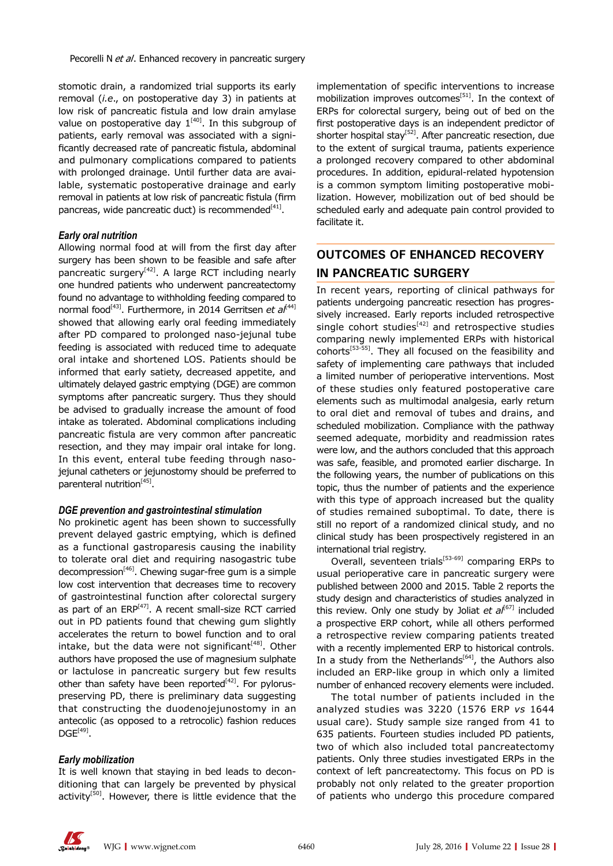stomotic drain, a randomized trial supports its early removal (*i.e*., on postoperative day 3) in patients at low risk of pancreatic fistula and low drain amylase value on postoperative day  $1^{[40]}$ . In this subgroup of patients, early removal was associated with a significantly decreased rate of pancreatic fistula, abdominal and pulmonary complications compared to patients with prolonged drainage. Until further data are available, systematic postoperative drainage and early removal in patients at low risk of pancreatic fistula (firm pancreas, wide pancreatic duct) is recommended $[41]$ .

## *Early oral nutrition*

Allowing normal food at will from the first day after surgery has been shown to be feasible and safe after pancreatic surgery<sup>[42]</sup>. A large RCT including nearly one hundred patients who underwent pancreatectomy found no advantage to withholding feeding compared to normal food<sup>[43]</sup>. Furthermore, in 2014 Gerritsen et al<sup>[44]</sup> showed that allowing early oral feeding immediately after PD compared to prolonged naso-jejunal tube feeding is associated with reduced time to adequate oral intake and shortened LOS. Patients should be informed that early satiety, decreased appetite, and ultimately delayed gastric emptying (DGE) are common symptoms after pancreatic surgery. Thus they should be advised to gradually increase the amount of food intake as tolerated. Abdominal complications including pancreatic fistula are very common after pancreatic resection, and they may impair oral intake for long. In this event, enteral tube feeding through nasojejunal catheters or jejunostomy should be preferred to parenteral nutrition<sup>[45]</sup>.

### *DGE prevention and gastrointestinal stimulation*

No prokinetic agent has been shown to successfully prevent delayed gastric emptying, which is defined as a functional gastroparesis causing the inability to tolerate oral diet and requiring nasogastric tube decompression<sup>[46]</sup>. Chewing sugar-free gum is a simple low cost intervention that decreases time to recovery of gastrointestinal function after colorectal surgery as part of an  $ERP^{[47]}$ . A recent small-size RCT carried out in PD patients found that chewing gum slightly accelerates the return to bowel function and to oral intake, but the data were not significant $[48]$ . Other authors have proposed the use of magnesium sulphate or lactulose in pancreatic surgery but few results other than safety have been reported $[42]$ . For pyloruspreserving PD, there is preliminary data suggesting that constructing the duodenojejunostomy in an antecolic (as opposed to a retrocolic) fashion reduces  $DGE^{[49]}$ .

## *Early mobilization*

It is well known that staying in bed leads to deconditioning that can largely be prevented by physical activity<sup>[50]</sup>. However, there is little evidence that the implementation of specific interventions to increase mobilization improves outcomes<sup>[51]</sup>. In the context of ERPs for colorectal surgery, being out of bed on the first postoperative days is an independent predictor of shorter hospital stav<sup>[52]</sup>. After pancreatic resection, due to the extent of surgical trauma, patients experience a prolonged recovery compared to other abdominal procedures. In addition, epidural-related hypotension is a common symptom limiting postoperative mobilization. However, mobilization out of bed should be scheduled early and adequate pain control provided to facilitate it.

## **OUTCOMES OF ENHANCED RECOVERY IN PANCREATIC SURGERY**

In recent years, reporting of clinical pathways for patients undergoing pancreatic resection has progressively increased. Early reports included retrospective single cohort studies $[42]$  and retrospective studies comparing newly implemented ERPs with historical cohorts<sup>[53-55]</sup>. They all focused on the feasibility and safety of implementing care pathways that included a limited number of perioperative interventions. Most of these studies only featured postoperative care elements such as multimodal analgesia, early return to oral diet and removal of tubes and drains, and scheduled mobilization. Compliance with the pathway seemed adequate, morbidity and readmission rates were low, and the authors concluded that this approach was safe, feasible, and promoted earlier discharge. In the following years, the number of publications on this topic, thus the number of patients and the experience with this type of approach increased but the quality of studies remained suboptimal. To date, there is still no report of a randomized clinical study, and no clinical study has been prospectively registered in an international trial registry.

Overall, seventeen trials<sup>[53-69]</sup> comparing ERPs to usual perioperative care in pancreatic surgery were published between 2000 and 2015. Table 2 reports the study design and characteristics of studies analyzed in this review. Only one study by Joliat *et al*<sup>[67]</sup> included a prospective ERP cohort, while all others performed a retrospective review comparing patients treated with a recently implemented ERP to historical controls. In a study from the Netherlands $[64]$ , the Authors also included an ERP-like group in which only a limited number of enhanced recovery elements were included.

The total number of patients included in the analyzed studies was 3220 (1576 ERP *vs* 1644 usual care). Study sample size ranged from 41 to 635 patients. Fourteen studies included PD patients, two of which also included total pancreatectomy patients. Only three studies investigated ERPs in the context of left pancreatectomy. This focus on PD is probably not only related to the greater proportion of patients who undergo this procedure compared

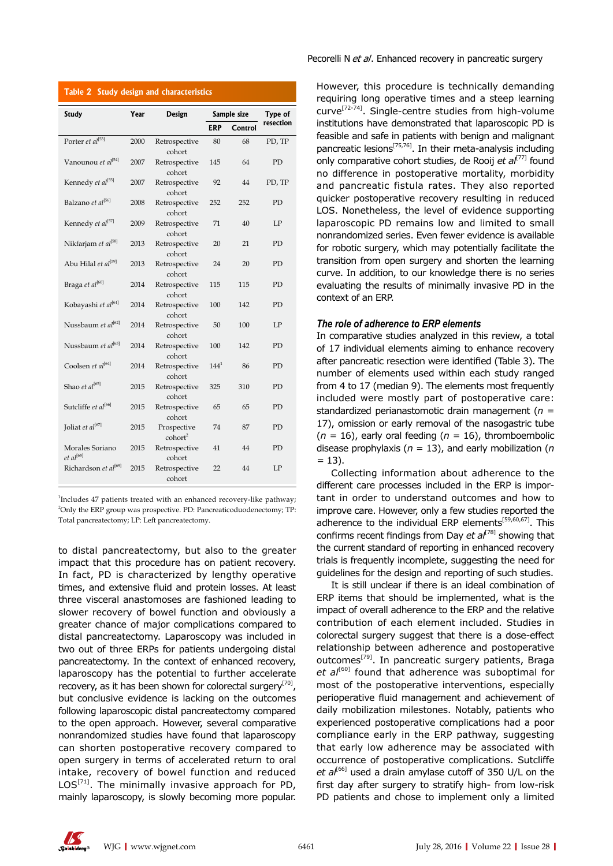## **Table 2 Study design and characteristics**

| <b>Study</b>                             | Year<br><b>Design</b> |                                  |            | Sample size | Type of   |
|------------------------------------------|-----------------------|----------------------------------|------------|-------------|-----------|
|                                          |                       |                                  | <b>ERP</b> | Control     | resection |
| Porter et al[53]                         | 2000                  | Retrospective<br>cohort          | 80         | 68          | PD, TP    |
| Vanounou et al <sup>[54]</sup>           | 2007                  | Retrospective<br>cohort          | 145        | 64          | <b>PD</b> |
| Kennedy et al <sup>[55]</sup>            | 2007                  | Retrospective<br>cohort          | 92         | 44          | PD, TP    |
| Balzano et al <sup>[56]</sup>            | 2008                  | Retrospective<br>cohort          | 252        | 252         | PD        |
| Kennedy et al[57]                        | 2009                  | Retrospective<br>cohort          | 71         | 40          | LP        |
| Nikfarjam et al <sup>[58]</sup>          | 2013                  | Retrospective<br>cohort          | 20         | 21          | PD        |
| Abu Hilal et al <sup>[59]</sup>          | 2013                  | Retrospective<br>cohort          | 24         | 20          | PD        |
| Braga et al <sup>[60]</sup>              | 2014                  | Retrospective<br>cohort          | 115        | 115         | PD        |
| Kobayashi et al<br><sup>[61]</sup>       | 2014                  | Retrospective<br>cohort          | 100        | 142         | PD        |
| Nussbaum et al <sup>[62]</sup>           | 2014                  | Retrospective<br>cohort          | 50         | 100         | LP        |
| Nussbaum et al <sup>[63]</sup>           | 2014                  | Retrospective<br>cohort          | 100        | 142         | PD        |
| Coolsen et al <sup>[64]</sup>            | 2014                  | Retrospective<br>cohort          | $144^{1}$  | 86          | <b>PD</b> |
| Shao et $al^{[65]}$                      | 2015                  | Retrospective<br>cohort          | 325        | 310         | PD        |
| Sutcliffe et al <sup>[66]</sup>          | 2015                  | Retrospective<br>cohort          | 65         | 65          | PD        |
| Joliat et al <sup>[67]</sup>             | 2015                  | Prospective<br>$\text{cohort}^2$ | 74         | 87          | PD        |
| Morales Soriano<br>et al <sup>[68]</sup> | 2015                  | Retrospective<br>cohort          | 41         | 44          | PD        |
| Richardson et al <sup>[69]</sup>         | 2015                  | Retrospective<br>cohort          | 22         | 44          | LP        |
|                                          |                       |                                  |            |             |           |

<sup>1</sup>Includes 47 patients treated with an enhanced recovery-like pathway; <sup>2</sup>Only the ERP group was prospective. PD: Pancreaticoduodenectomy; TP: Total pancreatectomy; LP: Left pancreatectomy.

to distal pancreatectomy, but also to the greater impact that this procedure has on patient recovery. In fact, PD is characterized by lengthy operative times, and extensive fluid and protein losses. At least three visceral anastomoses are fashioned leading to slower recovery of bowel function and obviously a greater chance of major complications compared to distal pancreatectomy. Laparoscopy was included in two out of three ERPs for patients undergoing distal pancreatectomy. In the context of enhanced recovery, laparoscopy has the potential to further accelerate recovery, as it has been shown for colorectal surgery<sup>[70]</sup>, but conclusive evidence is lacking on the outcomes following laparoscopic distal pancreatectomy compared to the open approach. However, several comparative nonrandomized studies have found that laparoscopy can shorten postoperative recovery compared to open surgery in terms of accelerated return to oral intake, recovery of bowel function and reduced  $LOS^{[71]}$ . The minimally invasive approach for PD, mainly laparoscopy, is slowly becoming more popular.

Pecorelli N et al. Enhanced recovery in pancreatic surgery

However, this procedure is technically demanding requiring long operative times and a steep learning curve[72-74]. Single-centre studies from high-volume institutions have demonstrated that laparoscopic PD is feasible and safe in patients with benign and malignant pancreatic lesions<sup>[75,76]</sup>. In their meta-analysis including only comparative cohort studies, de Rooij et al<sup>[77]</sup> found no difference in postoperative mortality, morbidity and pancreatic fistula rates. They also reported quicker postoperative recovery resulting in reduced LOS. Nonetheless, the level of evidence supporting laparoscopic PD remains low and limited to small nonrandomized series. Even fewer evidence is available for robotic surgery, which may potentially facilitate the transition from open surgery and shorten the learning curve. In addition, to our knowledge there is no series evaluating the results of minimally invasive PD in the context of an ERP.

### *The role of adherence to ERP elements*

In comparative studies analyzed in this review, a total of 17 individual elements aiming to enhance recovery after pancreatic resection were identified (Table 3). The number of elements used within each study ranged from 4 to 17 (median 9). The elements most frequently included were mostly part of postoperative care: standardized perianastomotic drain management (*n =*  17), omission or early removal of the nasogastric tube  $(n = 16)$ , early oral feeding  $(n = 16)$ , thromboembolic disease prophylaxis (*n =* 13), and early mobilization (*n =* 13).

Collecting information about adherence to the different care processes included in the ERP is important in order to understand outcomes and how to improve care. However, only a few studies reported the adherence to the individual ERP elements<sup>[59,60,67]</sup>. This confirms recent findings from Day *et al*<sup>[78]</sup> showing that the current standard of reporting in enhanced recovery trials is frequently incomplete, suggesting the need for guidelines for the design and reporting of such studies.

It is still unclear if there is an ideal combination of ERP items that should be implemented, what is the impact of overall adherence to the ERP and the relative contribution of each element included. Studies in colorectal surgery suggest that there is a dose-effect relationship between adherence and postoperative outcomes<sup>[79]</sup>. In pancreatic surgery patients, Braga *et al*[60] found that adherence was suboptimal for most of the postoperative interventions, especially perioperative fluid management and achievement of daily mobilization milestones. Notably, patients who experienced postoperative complications had a poor compliance early in the ERP pathway, suggesting that early low adherence may be associated with occurrence of postoperative complications. Sutcliffe et al<sup>[66]</sup> used a drain amylase cutoff of 350 U/L on the first day after surgery to stratify high- from low-risk PD patients and chose to implement only a limited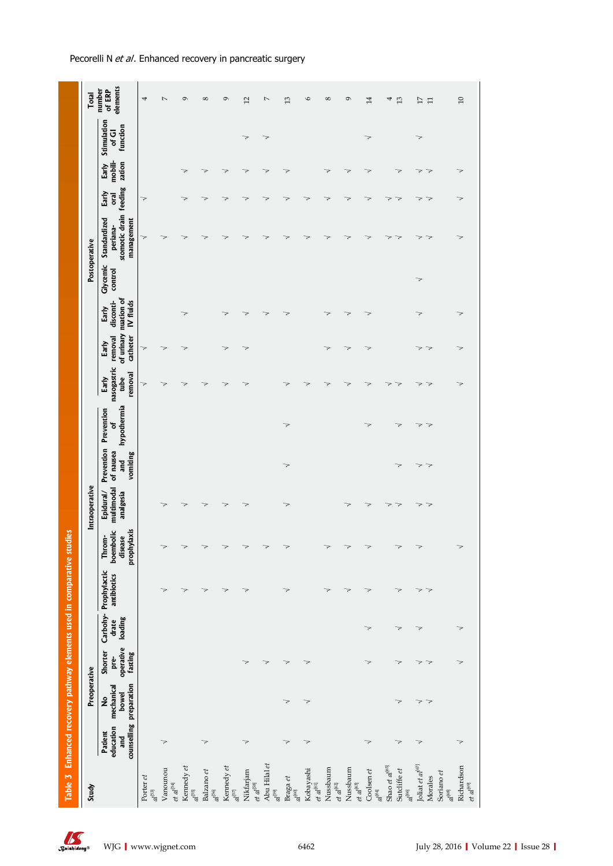| ֧֧֧֧֧ׅ֧֧ׅ֧֧֧֧֧֧֧֧֧֛֪֧֚֚֚֚֚֚֚֚֚֚֚֚֚֚֚֚֚֚֚֚֚֚֚֚֚֚֡֝֝֓֝֟֓֝֬֜֜֜֜֜֜֜֜֜֜ |
|--------------------------------------------------------------------|
| ĺ                                                                  |
|                                                                    |
|                                                                    |
|                                                                    |
|                                                                    |
|                                                                    |

| Study                                                                                                            |                             | Preoperative                                        |                                         |                          |                                      |                                               | Intraoperative                       |                               |                                            |                                         |                                            |                                               |                          | Postoperative                                                    |               |                               |                                  |  |
|------------------------------------------------------------------------------------------------------------------|-----------------------------|-----------------------------------------------------|-----------------------------------------|--------------------------|--------------------------------------|-----------------------------------------------|--------------------------------------|-------------------------------|--------------------------------------------|-----------------------------------------|--------------------------------------------|-----------------------------------------------|--------------------------|------------------------------------------------------------------|---------------|-------------------------------|----------------------------------|--|
|                                                                                                                  | education<br>Patient<br>and | counselling preparation<br>mechanical<br>bowel<br>ż | operative<br>fasting<br>Shorter<br>pre- | loading<br>drate         | Carbohy- Prophylactic<br>antibiotics | prophylaxis<br>boembolic<br>Throm-<br>disease | multimodal<br>Epidural/<br>analgesia | of nausea<br>vomiting<br>and  | hypothermia<br>Prevention Prevention<br>'ত | nasogastric<br>removal<br>tube<br>Early | of urinary<br>removal<br>catheter<br>Early | nuation of<br>disconti-<br>IV fluids<br>Early | Glycemic<br>control      | stomotic drain feeding<br>management<br>Standardized<br>periana- | Early<br>oral | mobili-<br>zation<br>Early    | Stimulation<br>function<br>of Gl |  |
| Porter et<br>$\epsilon$ $^{-1}$                                                                                  |                             |                                                     |                                         |                          |                                      |                                               |                                      |                               |                                            | 7                                       | 7                                          |                                               |                          | 7                                                                | 7             |                               |                                  |  |
| Vanounou<br>$et\,al^{\rm [S4]}$                                                                                  | $\overline{\phantom{1}}$    |                                                     |                                         |                          | 7                                    | >                                             |                                      |                               |                                            | 7                                       | 7                                          |                                               |                          | 7                                                                |               |                               |                                  |  |
| Kennedy et<br>$a l^{\rm [55]}$                                                                                   |                             |                                                     |                                         |                          | 7                                    | >                                             |                                      |                               |                                            | >                                       | 7                                          | ॽ                                             |                          |                                                                  | 7             |                               |                                  |  |
| Balzano et<br>$al^{\rm [56]}$                                                                                    | $\overline{\phantom{a}}$    |                                                     |                                         |                          | 7                                    | >                                             | 7                                    |                               |                                            | >                                       |                                            |                                               |                          |                                                                  | 7             | 7                             |                                  |  |
| Kennedy $et$ $\boldsymbol{a}l^{\left[ 57\right] }$                                                               |                             |                                                     |                                         |                          | 7                                    | 7                                             | 7                                    |                               |                                            | 7                                       | 7                                          | 7                                             |                          | ⊃                                                                | 7             | 7                             |                                  |  |
| Nikfarjam<br>$et\,a^{[58]}$                                                                                      | $\rightarrow$               |                                                     | $\overline{\phantom{0}}$                |                          | 7                                    | >                                             | 7                                    |                               |                                            | 7                                       | 7                                          | 7                                             |                          |                                                                  | 7             | 7                             | 7                                |  |
| Abu Hilal et<br>$\epsilon$ $\epsilon$                                                                            |                             |                                                     | $\overline{\phantom{a}}$                |                          |                                      | 7                                             |                                      |                               |                                            |                                         |                                            | 7                                             |                          | ⊃                                                                | 7             | 7                             | $\overline{\phantom{0}}$         |  |
| Braga et $\frac{a}{\sqrt{t}}$                                                                                    | $\overline{\phantom{0}}$    | 7                                                   | $\overline{\phantom{a}}$                |                          | 7                                    | 7                                             | 7                                    | $\overline{\phantom{a}}$      | $\overline{\phantom{a}}$                   | >                                       |                                            | 7                                             |                          | >                                                                | 7             | 7                             |                                  |  |
| Kobayashi<br>$et\,al^{\rm{[61]}}$                                                                                | $\overline{\phantom{a}}$    | ⇁                                                   | $\overline{\phantom{a}}$                |                          |                                      |                                               |                                      |                               |                                            | 7                                       |                                            |                                               |                          | ⊃                                                                | 7             |                               |                                  |  |
| Nussbaum<br>$et\;al^{[62]}$                                                                                      |                             |                                                     |                                         |                          | 7                                    |                                               |                                      |                               |                                            | >                                       | 7                                          | 7                                             |                          | ⊃                                                                | 7             | 7                             |                                  |  |
| Nussbaum<br>$et\,al^{[63]}$                                                                                      |                             |                                                     |                                         |                          | 7                                    | 7                                             | 7                                    |                               |                                            | >                                       | 7                                          | 7                                             |                          | >                                                                | 7             | 7                             |                                  |  |
| Coolsen et $\frac{d^{[64]}}{dt^{[64]}}$                                                                          | $\rightarrow$               |                                                     | $\overline{\phantom{a}}$                | $\overline{\phantom{0}}$ | >                                    | 7                                             | 7                                    |                               | 7                                          | 7                                       | 7                                          | 7                                             |                          | >                                                                | 7             | 7                             | $\overline{\phantom{a}}$         |  |
| Shao $et\,al^{[65]}$<br>Sutcliffe $et$ $\mathfrak{a}l^{\mathfrak{b}6}$                                           | $\rightarrow$               | ⇁                                                   | ⇁                                       | ⇁                        | 7                                    | >                                             | $\overline{\phantom{a}}$<br>7        | 7                             | ⇁                                          | ⇁<br>⊃                                  |                                            |                                               |                          | ><br>⊃                                                           | ><br>7        | 7                             |                                  |  |
| Joliat et $al^{[67]}$<br>Soriano et<br>Morales                                                                   | $\overline{\phantom{1}}$    | $\Rightarrow$<br>⇁                                  | $\Rightarrow$<br>7                      | $\overline{\phantom{1}}$ | $\Rightarrow$<br>7                   | $\overline{\phantom{a}}$                      | $\overline{\phantom{a}}$<br>7        | 7<br>$\overline{\phantom{a}}$ | $\Rightarrow$<br>7                         | ><br>>                                  | 7<br>7                                     | 7                                             | $\overline{\phantom{a}}$ | ><br>ॽ                                                           | 7<br>7        | 7<br>$\overline{\phantom{a}}$ | $\overline{\phantom{1}}$         |  |
| $\begin{array}{l} \text{Richardson} \\ \text{\it et} \ \textit{al}^{\text{(6)}} \end{array}$<br>$a l^{\rm [68]}$ | $\Rightarrow$               |                                                     | $\overline{\phantom{a}}$                | $\overline{\phantom{a}}$ |                                      |                                               |                                      |                               |                                            | 7                                       | 7                                          | 7                                             |                          |                                                                  | 7             | 7                             |                                  |  |

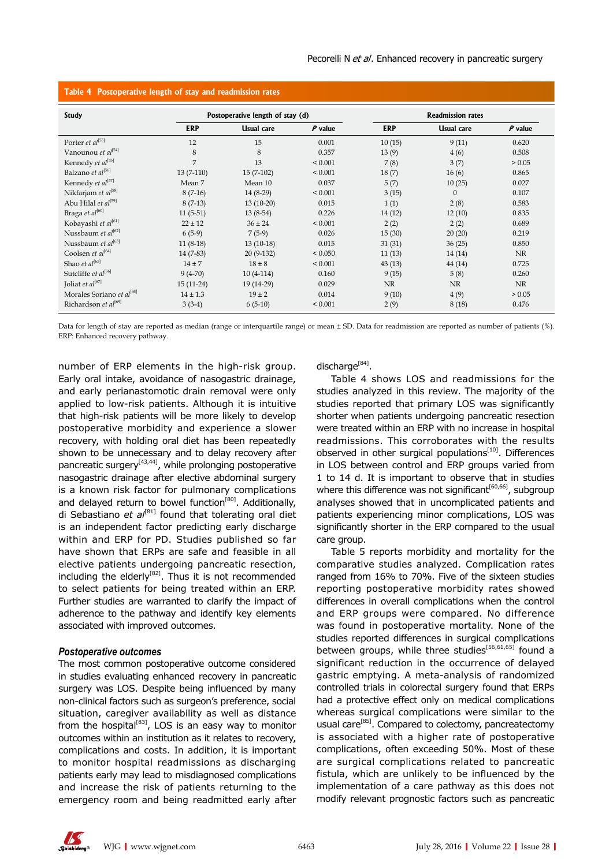| <b>Study</b>                          | Postoperative length of stay (d) |             |           |            | <b>Readmission rates</b> |           |
|---------------------------------------|----------------------------------|-------------|-----------|------------|--------------------------|-----------|
|                                       | <b>ERP</b>                       | Usual care  | $P$ value | <b>ERP</b> | Usual care               | $P$ value |
| Porter et al <sup>[53]</sup>          | 12                               | 15          | 0.001     | 10(15)     | 9(11)                    | 0.620     |
| Vanounou et al <sup>[54]</sup>        | 8                                | 8           | 0.357     | 13(9)      | 4(6)                     | 0.508     |
| Kennedy et al <sup>[55]</sup>         | 7                                | 13          | < 0.001   | 7(8)       | 3(7)                     | > 0.05    |
| Balzano et al <sup>[56]</sup>         | $13(7-110)$                      | $15(7-102)$ | < 0.001   | 18(7)      | 16(6)                    | 0.865     |
| Kennedy et al <sup>[57]</sup>         | Mean 7                           | Mean 10     | 0.037     | 5(7)       | 10(25)                   | 0.027     |
| Nikfarjam et al <sup>[58]</sup>       | $8(7-16)$                        | $14(8-29)$  | < 0.001   | 3(15)      | $\theta$                 | 0.107     |
| Abu Hilal et al <sup>[59]</sup>       | $8(7-13)$                        | $13(10-20)$ | 0.015     | 1(1)       | 2(8)                     | 0.583     |
| Braga et al <sup>[60]</sup>           | $11(5-51)$                       | $13(8-54)$  | 0.226     | 14(12)     | 12(10)                   | 0.835     |
| Kobayashi et al <sup>[61]</sup>       | $22 \pm 12$                      | $36 \pm 24$ | < 0.001   | 2(2)       | 2(2)                     | 0.689     |
| Nussbaum et al <sup>[62]</sup>        | $6(5-9)$                         | $7(5-9)$    | 0.026     | 15(30)     | 20(20)                   | 0.219     |
| Nussbaum et al <sup>[63]</sup>        | $11(8-18)$                       | $13(10-18)$ | 0.015     | 31(31)     | 36(25)                   | 0.850     |
| Coolsen et al <sup>[64]</sup>         | $14(7-83)$                       | $20(9-132)$ | < 0.050   | 11(13)     | 14(14)                   | <b>NR</b> |
| Shao et al <sup>[65]</sup>            | $14 \pm 7$                       | $18 \pm 8$  | < 0.001   | 43(13)     | 44 (14)                  | 0.725     |
| Sutcliffe et al <sup>[66]</sup>       | $9(4-70)$                        | $10(4-114)$ | 0.160     | 9(15)      | 5(8)                     | 0.260     |
| Joliat et $al^{[67]}$                 | $15(11-24)$                      | 19 (14-29)  | 0.029     | <b>NR</b>  | <b>NR</b>                | NR        |
| Morales Soriano et al <sup>[68]</sup> | $14 \pm 1.3$                     | $19 \pm 2$  | 0.014     | 9(10)      | 4(9)                     | > 0.05    |
| Richardson et al <sup>[69]</sup>      | $3(3-4)$                         | $6(5-10)$   | < 0.001   | 2(9)       | 8(18)                    | 0.476     |

## **Table 4 Postoperative length of stay and readmission rates**

Data for length of stay are reported as median (range or interquartile range) or mean ± SD. Data for readmission are reported as number of patients (%). ERP: Enhanced recovery pathway.

number of ERP elements in the high-risk group. Early oral intake, avoidance of nasogastric drainage, and early perianastomotic drain removal were only applied to low-risk patients. Although it is intuitive that high-risk patients will be more likely to develop postoperative morbidity and experience a slower recovery, with holding oral diet has been repeatedly shown to be unnecessary and to delay recovery after pancreatic surgery $[43,44]$ , while prolonging postoperative nasogastric drainage after elective abdominal surgery is a known risk factor for pulmonary complications and delayed return to bowel function<sup>[80]</sup>. Additionally, di Sebastiano *et al*[81] found that tolerating oral diet is an independent factor predicting early discharge within and ERP for PD. Studies published so far have shown that ERPs are safe and feasible in all elective patients undergoing pancreatic resection, including the elderly<sup>[82]</sup>. Thus it is not recommended to select patients for being treated within an ERP. Further studies are warranted to clarify the impact of adherence to the pathway and identify key elements associated with improved outcomes.

#### *Postoperative outcomes*

The most common postoperative outcome considered in studies evaluating enhanced recovery in pancreatic surgery was LOS. Despite being influenced by many non-clinical factors such as surgeon's preference, social situation, caregiver availability as well as distance from the hospital $[83]$ , LOS is an easy way to monitor outcomes within an institution as it relates to recovery, complications and costs. In addition, it is important to monitor hospital readmissions as discharging patients early may lead to misdiagnosed complications and increase the risk of patients returning to the emergency room and being readmitted early after

discharge<sup>[84]</sup>.

Table 4 shows LOS and readmissions for the studies analyzed in this review. The majority of the studies reported that primary LOS was significantly shorter when patients undergoing pancreatic resection were treated within an ERP with no increase in hospital readmissions. This corroborates with the results observed in other surgical populations $[10]$ . Differences in LOS between control and ERP groups varied from 1 to 14 d. It is important to observe that in studies where this difference was not significant<sup>[60,66]</sup>, subgroup analyses showed that in uncomplicated patients and patients experiencing minor complications, LOS was significantly shorter in the ERP compared to the usual care group.

Table 5 reports morbidity and mortality for the comparative studies analyzed. Complication rates ranged from 16% to 70%. Five of the sixteen studies reporting postoperative morbidity rates showed differences in overall complications when the control and ERP groups were compared. No difference was found in postoperative mortality. None of the studies reported differences in surgical complications between groups, while three studies<sup>[56,61,65]</sup> found a significant reduction in the occurrence of delayed gastric emptying. A meta-analysis of randomized controlled trials in colorectal surgery found that ERPs had a protective effect only on medical complications whereas surgical complications were similar to the usual care<sup>[85]</sup>. Compared to colectomy, pancreatectomy is associated with a higher rate of postoperative complications, often exceeding 50%. Most of these are surgical complications related to pancreatic fistula, which are unlikely to be influenced by the implementation of a care pathway as this does not modify relevant prognostic factors such as pancreatic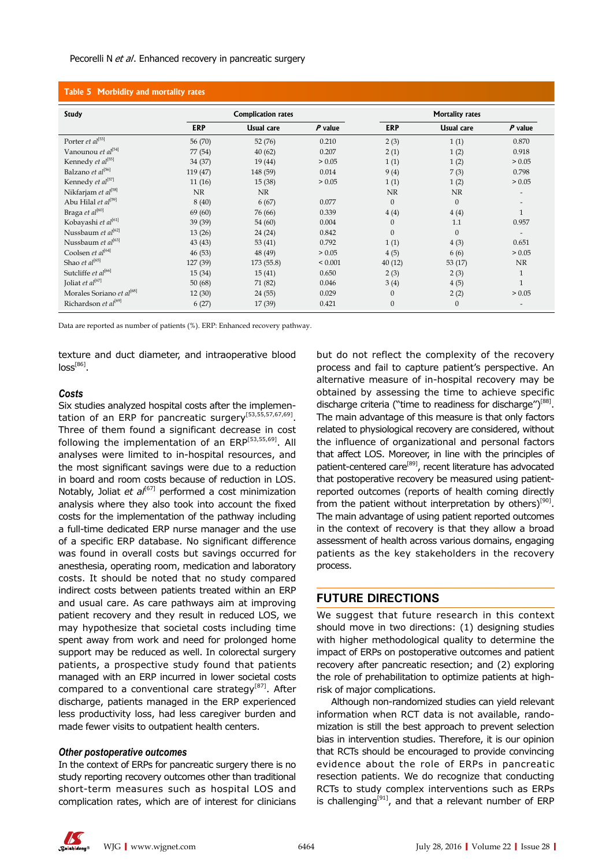## **Table 5 Morbidity and mortality rates**

| <b>Study</b>                          | <b>Complication rates</b> |            |             | <b>Mortality rates</b> |              |              |
|---------------------------------------|---------------------------|------------|-------------|------------------------|--------------|--------------|
|                                       | <b>ERP</b>                | Usual care | $P$ value   | <b>ERP</b>             | Usual care   | $P$ value    |
| Porter et al[53]                      | 56 (70)                   | 52(76)     | 0.210       | 2(3)                   | 1(1)         | 0.870        |
| Vanounou et al <sup>[54]</sup>        | 77 (54)                   | 40(62)     | 0.207       | 2(1)                   | 1(2)         | 0.918        |
| Kennedy et al <sup>[55]</sup>         | 34 (37)                   | 19 (44)    | > 0.05      | 1(1)                   | 1(2)         | > 0.05       |
| Balzano et al <sup>[56]</sup>         | 119 (47)                  | 148 (59)   | 0.014       | 9(4)                   | 7(3)         | 0.798        |
| Kennedy et al <sup>[57]</sup>         | 11(16)                    | 15(38)     | > 0.05      | 1(1)                   | 1(2)         | > 0.05       |
| Nikfarjam et al <sup>[58]</sup>       | <b>NR</b>                 | <b>NR</b>  |             | <b>NR</b>              | <b>NR</b>    |              |
| Abu Hilal et al <sup>[59]</sup>       | 8(40)                     | 6(67)      | 0.077       | $\mathbf{0}$           | $\mathbf{0}$ |              |
| Braga et al <sup>[60]</sup>           | 69 (60)                   | 76 (66)    | 0.339       | 4(4)                   | 4(4)         | $\mathbf{1}$ |
| Kobayashi et al<br>[61]               | 39 (39)                   | 54 (60)    | 0.004       | $\mathbf{0}$           | 1.1          | 0.957        |
| Nussbaum et al <sup>[62]</sup>        | 13(26)                    | 24 (24)    | 0.842       | $\mathbf{0}$           | $\mathbf{0}$ |              |
| Nussbaum et al <sup>[63]</sup>        | 43(43)                    | 53(41)     | 0.792       | 1(1)                   | 4(3)         | 0.651        |
| Coolsen et $al^{[64]}$                | 46 (53)                   | 48 (49)    | > 0.05      | 4(5)                   | 6(6)         | > 0.05       |
| Shao et al <sup>[65]</sup>            | 127 (39)                  | 173(55.8)  | ${}< 0.001$ | 40(12)                 | 53(17)       | NR           |
| Sutcliffe et al <sup>[66]</sup>       | 15(34)                    | 15(41)     | 0.650       | 2(3)                   | 2(3)         | $\mathbf{1}$ |
| Joliat et al <sup>[67]</sup>          | 50(68)                    | 71 (82)    | 0.046       | 3(4)                   | 4(5)         | $\mathbf{1}$ |
| Morales Soriano et al <sup>[68]</sup> | 12(30)                    | 24 (55)    | 0.029       | $\mathbf{0}$           | 2(2)         | > 0.05       |
| Richardson et al <sup>[69]</sup>      | 6(27)                     | 17 (39)    | 0.421       | $\mathbf{0}$           | $\mathbf{0}$ |              |

Data are reported as number of patients (%). ERP: Enhanced recovery pathway.

texture and duct diameter, and intraoperative blood  $loss<sup>[86]</sup>$ .

## *Costs*

Six studies analyzed hospital costs after the implementation of an ERP for pancreatic surgery<sup>[53,55,57,67,69]</sup>. Three of them found a significant decrease in cost following the implementation of an ERP<sup>[53,55,69]</sup>. All analyses were limited to in-hospital resources, and the most significant savings were due to a reduction in board and room costs because of reduction in LOS. Notably, Joliat *et al*<sup>[67]</sup> performed a cost minimization analysis where they also took into account the fixed costs for the implementation of the pathway including a full-time dedicated ERP nurse manager and the use of a specific ERP database. No significant difference was found in overall costs but savings occurred for anesthesia, operating room, medication and laboratory costs. It should be noted that no study compared indirect costs between patients treated within an ERP and usual care. As care pathways aim at improving patient recovery and they result in reduced LOS, we may hypothesize that societal costs including time spent away from work and need for prolonged home support may be reduced as well. In colorectal surgery patients, a prospective study found that patients managed with an ERP incurred in lower societal costs compared to a conventional care strategy<sup>[87]</sup>. After discharge, patients managed in the ERP experienced less productivity loss, had less caregiver burden and made fewer visits to outpatient health centers.

#### *Other postoperative outcomes*

In the context of ERPs for pancreatic surgery there is no study reporting recovery outcomes other than traditional short-term measures such as hospital LOS and complication rates, which are of interest for clinicians

but do not reflect the complexity of the recovery process and fail to capture patient's perspective. An alternative measure of in-hospital recovery may be obtained by assessing the time to achieve specific discharge criteria ("time to readiness for discharge")<sup>[88]</sup>. The main advantage of this measure is that only factors related to physiological recovery are considered, without the influence of organizational and personal factors that affect LOS. Moreover, in line with the principles of patient-centered care<sup>[89]</sup>, recent literature has advocated that postoperative recovery be measured using patientreported outcomes (reports of health coming directly from the patient without interpretation by others)<sup>[90]</sup>. The main advantage of using patient reported outcomes in the context of recovery is that they allow a broad assessment of health across various domains, engaging patients as the key stakeholders in the recovery process.

## **FUTURE DIRECTIONS**

We suggest that future research in this context should move in two directions: (1) designing studies with higher methodological quality to determine the impact of ERPs on postoperative outcomes and patient recovery after pancreatic resection; and (2) exploring the role of prehabilitation to optimize patients at highrisk of major complications.

Although non-randomized studies can yield relevant information when RCT data is not available, randomization is still the best approach to prevent selection bias in intervention studies. Therefore, it is our opinion that RCTs should be encouraged to provide convincing evidence about the role of ERPs in pancreatic resection patients. We do recognize that conducting RCTs to study complex interventions such as ERPs is challenging<sup>[91]</sup>, and that a relevant number of ERP

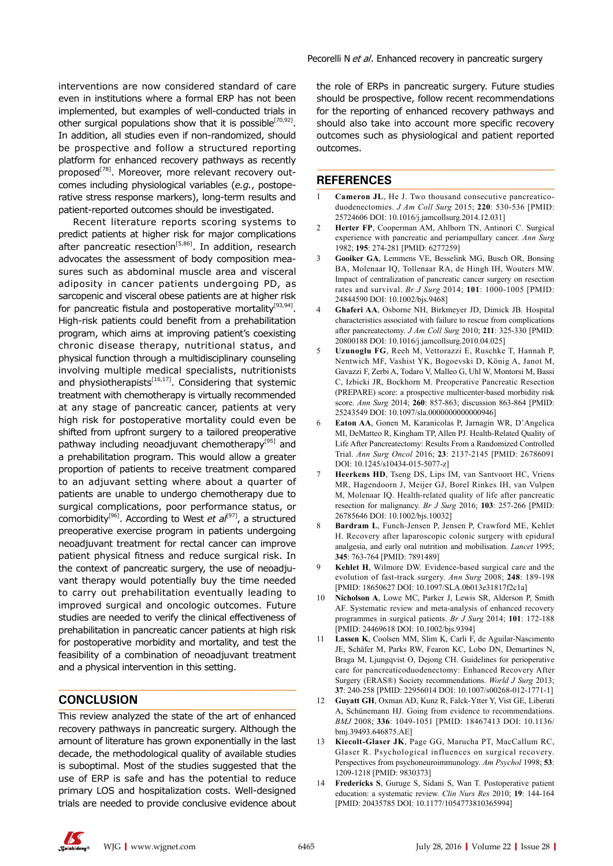interventions are now considered standard of care even in institutions where a formal ERP has not been implemented, but examples of well-conducted trials in other surgical populations show that it is possible<sup>[70,92]</sup>. In addition, all studies even if non-randomized, should be prospective and follow a structured reporting platform for enhanced recovery pathways as recently proposed<sup>[78]</sup>. Moreover, more relevant recovery outcomes including physiological variables (*e.g.*, postoperative stress response markers), long-term results and patient-reported outcomes should be investigated.

Recent literature reports scoring systems to predict patients at higher risk for major complications after pancreatic resection<sup>[5,86]</sup>. In addition, research advocates the assessment of body composition measures such as abdominal muscle area and visceral adiposity in cancer patients undergoing PD, as sarcopenic and visceral obese patients are at higher risk for pancreatic fistula and postoperative mortality<sup>[93,94]</sup>. High-risk patients could benefit from a prehabilitation program, which aims at improving patient's coexisting chronic disease therapy, nutritional status, and physical function through a multidisciplinary counseling involving multiple medical specialists, nutritionists and physiotherapists $[16,17]$ . Considering that systemic treatment with chemotherapy is virtually recommended at any stage of pancreatic cancer, patients at very high risk for postoperative mortality could even be shifted from upfront surgery to a tailored preoperative pathway including neoadjuvant chemotherapy<sup>[95]</sup> and a prehabilitation program. This would allow a greater proportion of patients to receive treatment compared to an adjuvant setting where about a quarter of patients are unable to undergo chemotherapy due to surgical complications, poor performance status, or comorbidity<sup>[96]</sup>. According to West *et al*<sup>[97]</sup>, a structured preoperative exercise program in patients undergoing neoadjuvant treatment for rectal cancer can improve patient physical fitness and reduce surgical risk. In the context of pancreatic surgery, the use of neoadjuvant therapy would potentially buy the time needed to carry out prehabilitation eventually leading to improved surgical and oncologic outcomes. Future studies are needed to verify the clinical effectiveness of prehabilitation in pancreatic cancer patients at high risk for postoperative morbidity and mortality, and test the feasibility of a combination of neoadjuvant treatment and a physical intervention in this setting.

## **CONCLUSION**

This review analyzed the state of the art of enhanced recovery pathways in pancreatic surgery. Although the amount of literature has grown exponentially in the last decade, the methodological quality of available studies is suboptimal. Most of the studies suggested that the use of ERP is safe and has the potential to reduce primary LOS and hospitalization costs. Well-designed trials are needed to provide conclusive evidence about

the role of ERPs in pancreatic surgery. Future studies should be prospective, follow recent recommendations for the reporting of enhanced recovery pathways and should also take into account more specific recovery outcomes such as physiological and patient reported outcomes.

#### **REFERENCES**

- 1 **Cameron JL**, He J. Two thousand consecutive pancreaticoduodenectomies. *J Am Coll Surg* 2015; **220**: 530-536 [PMID: 25724606 DOI: 10.1016/j.jamcollsurg.2014.12.031]
- 2 **Herter FP**, Cooperman AM, Ahlborn TN, Antinori C. Surgical experience with pancreatic and periampullary cancer. *Ann Surg* 1982; **195**: 274-281 [PMID: 6277259]
- 3 **Gooiker GA**, Lemmens VE, Besselink MG, Busch OR, Bonsing BA, Molenaar IQ, Tollenaar RA, de Hingh IH, Wouters MW. Impact of centralization of pancreatic cancer surgery on resection rates and survival. *Br J Surg* 2014; **101**: 1000-1005 [PMID: 24844590 DOI: 10.1002/bjs.9468]
- 4 **Ghaferi AA**, Osborne NH, Birkmeyer JD, Dimick JB. Hospital characteristics associated with failure to rescue from complications after pancreatectomy. *J Am Coll Surg* 2010; **211**: 325-330 [PMID: 20800188 DOI: 10.1016/j.jamcollsurg.2010.04.025]
- 5 **Uzunoglu FG**, Reeh M, Vettorazzi E, Ruschke T, Hannah P, Nentwich MF, Vashist YK, Bogoevski D, König A, Janot M, Gavazzi F, Zerbi A, Todaro V, Malleo G, Uhl W, Montorsi M, Bassi C, Izbicki JR, Bockhorn M. Preoperative Pancreatic Resection (PREPARE) score: a prospective multicenter-based morbidity risk score. *Ann Surg* 2014; **260**: 857-863; discussion 863-864 [PMID: 25243549 DOI: 10.1097/sla.0000000000000946]
- 6 **Eaton AA**, Gonen M, Karanicolas P, Jarnagin WR, D'Angelica MI, DeMatteo R, Kingham TP, Allen PJ. Health-Related Quality of Life After Pancreatectomy: Results From a Randomized Controlled Trial. *Ann Surg Oncol* 2016; **23**: 2137-2145 [PMID: 26786091 DOI: 10.1245/s10434-015-5077-z]
- Heerkens HD, Tseng DS, Lips IM, van Santvoort HC, Vriens MR, Hagendoorn J, Meijer GJ, Borel Rinkes IH, van Vulpen M, Molenaar IQ. Health-related quality of life after pancreatic resection for malignancy. *Br J Surg* 2016; **103**: 257-266 [PMID: 26785646 DOI: 10.1002/bjs.10032]
- 8 **Bardram L**, Funch-Jensen P, Jensen P, Crawford ME, Kehlet H. Recovery after laparoscopic colonic surgery with epidural analgesia, and early oral nutrition and mobilisation. *Lancet* 1995; **345**: 763-764 [PMID: 7891489]
- 9 **Kehlet H**, Wilmore DW. Evidence-based surgical care and the evolution of fast-track surgery. *Ann Surg* 2008; **248**: 189-198 [PMID: 18650627 DOI: 10.1097/SLA.0b013e31817f2c1a]
- 10 **Nicholson A**, Lowe MC, Parker J, Lewis SR, Alderson P, Smith AF. Systematic review and meta-analysis of enhanced recovery programmes in surgical patients. *Br J Surg* 2014; **101**: 172-188 [PMID: 24469618 DOI: 10.1002/bjs.9394]
- Lassen K, Coolsen MM, Slim K, Carli F, de Aguilar-Nascimento JE, Schäfer M, Parks RW, Fearon KC, Lobo DN, Demartines N, Braga M, Ljungqvist O, Dejong CH. Guidelines for perioperative care for pancreaticoduodenectomy: Enhanced Recovery After Surgery (ERAS®) Society recommendations. *World J Surg* 2013; **37**: 240-258 [PMID: 22956014 DOI: 10.1007/s00268-012-1771-1]
- 12 **Guyatt GH**, Oxman AD, Kunz R, Falck-Ytter Y, Vist GE, Liberati A, Schünemann HJ. Going from evidence to recommendations. *BMJ* 2008; **336**: 1049-1051 [PMID: 18467413 DOI: 10.1136/ bmj.39493.646875.AE]
- 13 **Kiecolt-Glaser JK**, Page GG, Marucha PT, MacCallum RC, Glaser R. Psychological influences on surgical recovery. Perspectives from psychoneuroimmunology. *Am Psychol* 1998; **53**: 1209-1218 [PMID: 9830373]
- 14 **Fredericks S**, Guruge S, Sidani S, Wan T. Postoperative patient education: a systematic review. *Clin Nurs Res* 2010; **19**: 144-164 [PMID: 20435785 DOI: 10.1177/1054773810365994]

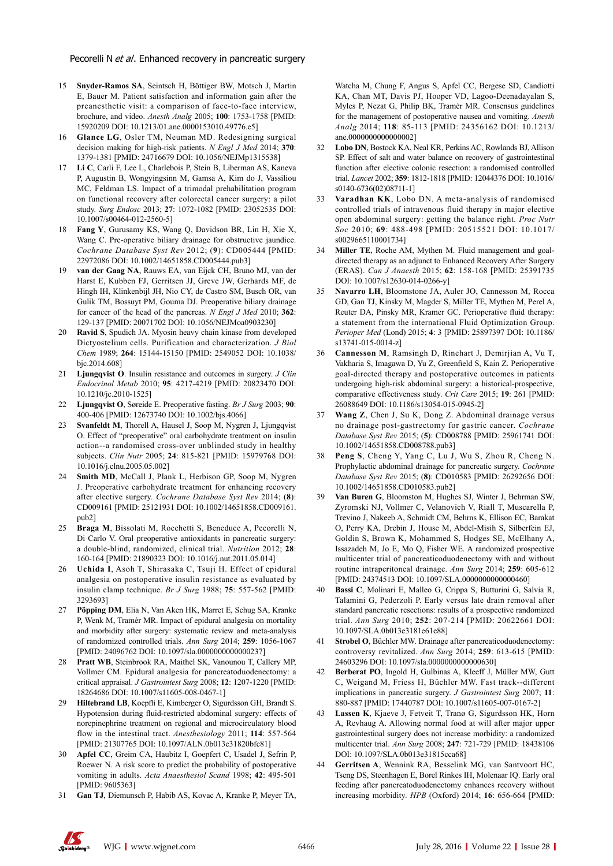- 15 **Snyder-Ramos SA**, Seintsch H, Böttiger BW, Motsch J, Martin E, Bauer M. Patient satisfaction and information gain after the preanesthetic visit: a comparison of face-to-face interview, brochure, and video. *Anesth Analg* 2005; **100**: 1753-1758 [PMID: 15920209 DOI: 10.1213/01.ane.0000153010.49776.e5]
- 16 **Glance LG**, Osler TM, Neuman MD. Redesigning surgical decision making for high-risk patients. *N Engl J Med* 2014; **370**: 1379-1381 [PMID: 24716679 DOI: 10.1056/NEJMp1315538]
- 17 **Li C**, Carli F, Lee L, Charlebois P, Stein B, Liberman AS, Kaneva P, Augustin B, Wongyingsinn M, Gamsa A, Kim do J, Vassiliou MC, Feldman LS. Impact of a trimodal prehabilitation program on functional recovery after colorectal cancer surgery: a pilot study. *Surg Endosc* 2013; **27**: 1072-1082 [PMID: 23052535 DOI: 10.1007/s00464-012-2560-5]
- 18 **Fang Y**, Gurusamy KS, Wang Q, Davidson BR, Lin H, Xie X, Wang C. Pre-operative biliary drainage for obstructive jaundice. *Cochrane Database Syst Rev* 2012; (**9**): CD005444 [PMID: 22972086 DOI: 10.1002/14651858.CD005444.pub3]
- 19 **van der Gaag NA**, Rauws EA, van Eijck CH, Bruno MJ, van der Harst E, Kubben FJ, Gerritsen JJ, Greve JW, Gerhards MF, de Hingh IH, Klinkenbijl JH, Nio CY, de Castro SM, Busch OR, van Gulik TM, Bossuyt PM, Gouma DJ. Preoperative biliary drainage for cancer of the head of the pancreas. *N Engl J Med* 2010; **362**: 129-137 [PMID: 20071702 DOI: 10.1056/NEJMoa0903230]
- 20 **Ravid S**, Spudich JA. Myosin heavy chain kinase from developed Dictyostelium cells. Purification and characterization. *J Biol Chem* 1989; **264**: 15144-15150 [PMID: 2549052 DOI: 10.1038/ bjc.2014.608]
- 21 **Ljungqvist O**. Insulin resistance and outcomes in surgery. *J Clin Endocrinol Metab* 2010; **95**: 4217-4219 [PMID: 20823470 DOI: 10.1210/jc.2010-1525]
- 22 **Ljungqvist O**, Søreide E. Preoperative fasting. *Br J Surg* 2003; **90**: 400-406 [PMID: 12673740 DOI: 10.1002/bjs.4066]
- 23 **Svanfeldt M**, Thorell A, Hausel J, Soop M, Nygren J, Ljungqvist O. Effect of "preoperative" oral carbohydrate treatment on insulin action--a randomised cross-over unblinded study in healthy subjects. *Clin Nutr* 2005; **24**: 815-821 [PMID: 15979768 DOI: 10.1016/j.clnu.2005.05.002]
- 24 **Smith MD**, McCall J, Plank L, Herbison GP, Soop M, Nygren J. Preoperative carbohydrate treatment for enhancing recovery after elective surgery. *Cochrane Database Syst Rev* 2014; (**8**): CD009161 [PMID: 25121931 DOI: 10.1002/14651858.CD009161. pub2]
- 25 **Braga M**, Bissolati M, Rocchetti S, Beneduce A, Pecorelli N, Di Carlo V. Oral preoperative antioxidants in pancreatic surgery: a double-blind, randomized, clinical trial. *Nutrition* 2012; **28**: 160-164 [PMID: 21890323 DOI: 10.1016/j.nut.2011.05.014]
- 26 **Uchida I**, Asoh T, Shirasaka C, Tsuji H. Effect of epidural analgesia on postoperative insulin resistance as evaluated by insulin clamp technique. *Br J Surg* 1988; **75**: 557-562 [PMID: 3293693]
- 27 **Pöpping DM**, Elia N, Van Aken HK, Marret E, Schug SA, Kranke P, Wenk M, Tramèr MR. Impact of epidural analgesia on mortality and morbidity after surgery: systematic review and meta-analysis of randomized controlled trials. *Ann Surg* 2014; **259**: 1056-1067 [PMID: 24096762 DOI: 10.1097/sla.0000000000000237]
- 28 **Pratt WB**, Steinbrook RA, Maithel SK, Vanounou T, Callery MP, Vollmer CM. Epidural analgesia for pancreatoduodenectomy: a critical appraisal. *J Gastrointest Surg* 2008; **12**: 1207-1220 [PMID: 18264686 DOI: 10.1007/s11605-008-0467-1]
- 29 **Hiltebrand LB**, Koepfli E, Kimberger O, Sigurdsson GH, Brandt S. Hypotension during fluid-restricted abdominal surgery: effects of norepinephrine treatment on regional and microcirculatory blood flow in the intestinal tract. *Anesthesiology* 2011; **114**: 557-564 [PMID: 21307765 DOI: 10.1097/ALN.0b013e31820bfc81]
- 30 **Apfel CC**, Greim CA, Haubitz I, Goepfert C, Usadel J, Sefrin P, Roewer N. A risk score to predict the probability of postoperative vomiting in adults. *Acta Anaesthesiol Scand* 1998; **42**: 495-501 [PMID: 9605363]
- 31 **Gan TJ**, Diemunsch P, Habib AS, Kovac A, Kranke P, Meyer TA,

Watcha M, Chung F, Angus S, Apfel CC, Bergese SD, Candiotti KA, Chan MT, Davis PJ, Hooper VD, Lagoo-Deenadayalan S, Myles P, Nezat G, Philip BK, Tramèr MR. Consensus guidelines for the management of postoperative nausea and vomiting. *Anesth Analg* 2014; **118**: 85-113 [PMID: 24356162 DOI: 10.1213/ ane.0000000000000002]

- 32 **Lobo DN**, Bostock KA, Neal KR, Perkins AC, Rowlands BJ, Allison SP. Effect of salt and water balance on recovery of gastrointestinal function after elective colonic resection: a randomised controlled trial. *Lancet* 2002; **359**: 1812-1818 [PMID: 12044376 DOI: 10.1016/ s0140-6736(02)08711-1]
- 33 **Varadhan KK**, Lobo DN. A meta-analysis of randomised controlled trials of intravenous fluid therapy in major elective open abdominal surgery: getting the balance right. *Proc Nutr Soc* 2010; **69**: 488-498 [PMID: 20515521 DOI: 10.1017/ s0029665110001734]
- Miller TE, Roche AM, Mythen M. Fluid management and goaldirected therapy as an adjunct to Enhanced Recovery After Surgery (ERAS). *Can J Anaesth* 2015; **62**: 158-168 [PMID: 25391735 DOI: 10.1007/s12630-014-0266-y]
- 35 **Navarro LH**, Bloomstone JA, Auler JO, Cannesson M, Rocca GD, Gan TJ, Kinsky M, Magder S, Miller TE, Mythen M, Perel A, Reuter DA, Pinsky MR, Kramer GC. Perioperative fluid therapy: a statement from the international Fluid Optimization Group. *Perioper Med* (Lond) 2015; **4**: 3 [PMID: 25897397 DOI: 10.1186/ s13741-015-0014-z]
- 36 **Cannesson M**, Ramsingh D, Rinehart J, Demirjian A, Vu T, Vakharia S, Imagawa D, Yu Z, Greenfield S, Kain Z. Perioperative goal-directed therapy and postoperative outcomes in patients undergoing high-risk abdominal surgery: a historical-prospective, comparative effectiveness study. *Crit Care* 2015; **19**: 261 [PMID: 26088649 DOI: 10.1186/s13054-015-0945-2]
- 37 **Wang Z**, Chen J, Su K, Dong Z. Abdominal drainage versus no drainage post-gastrectomy for gastric cancer. *Cochrane Database Syst Rev* 2015; (**5**): CD008788 [PMID: 25961741 DOI: 10.1002/14651858.CD008788.pub3]
- Peng S, Cheng Y, Yang C, Lu J, Wu S, Zhou R, Cheng N. Prophylactic abdominal drainage for pancreatic surgery. *Cochrane Database Syst Rev* 2015; (**8**): CD010583 [PMID: 26292656 DOI: 10.1002/14651858.CD010583.pub2]
- 39 **Van Buren G**, Bloomston M, Hughes SJ, Winter J, Behrman SW, Zyromski NJ, Vollmer C, Velanovich V, Riall T, Muscarella P, Trevino J, Nakeeb A, Schmidt CM, Behrns K, Ellison EC, Barakat O, Perry KA, Drebin J, House M, Abdel-Misih S, Silberfein EJ, Goldin S, Brown K, Mohammed S, Hodges SE, McElhany A, Issazadeh M, Jo E, Mo Q, Fisher WE. A randomized prospective multicenter trial of pancreaticoduodenectomy with and without routine intraperitoneal drainage. *Ann Surg* 2014; **259**: 605-612 [PMID: 24374513 DOI: 10.1097/SLA.0000000000000460]
- 40 **Bassi C**, Molinari E, Malleo G, Crippa S, Butturini G, Salvia R, Talamini G, Pederzoli P. Early versus late drain removal after standard pancreatic resections: results of a prospective randomized trial. *Ann Surg* 2010; **252**: 207-214 [PMID: 20622661 DOI: 10.1097/SLA.0b013e3181e61e88]
- 41 **Strobel O**, Büchler MW. Drainage after pancreaticoduodenectomy: controversy revitalized. *Ann Surg* 2014; **259**: 613-615 [PMID: 24603296 DOI: 10.1097/sla.0000000000000630]
- 42 **Berberat PO**, Ingold H, Gulbinas A, Kleeff J, Müller MW, Gutt C, Weigand M, Friess H, Büchler MW. Fast track--different implications in pancreatic surgery. *J Gastrointest Surg* 2007; **11**: 880-887 [PMID: 17440787 DOI: 10.1007/s11605-007-0167-2]
- 43 **Lassen K**, Kjaeve J, Fetveit T, Tranø G, Sigurdsson HK, Horn A, Revhaug A. Allowing normal food at will after major upper gastrointestinal surgery does not increase morbidity: a randomized multicenter trial. *Ann Surg* 2008; **247**: 721-729 [PMID: 18438106 DOI: 10.1097/SLA.0b013e31815cca68]
- 44 **Gerritsen A**, Wennink RA, Besselink MG, van Santvoort HC, Tseng DS, Steenhagen E, Borel Rinkes IH, Molenaar IQ. Early oral feeding after pancreatoduodenectomy enhances recovery without increasing morbidity. *HPB* (Oxford) 2014; **16**: 656-664 [PMID: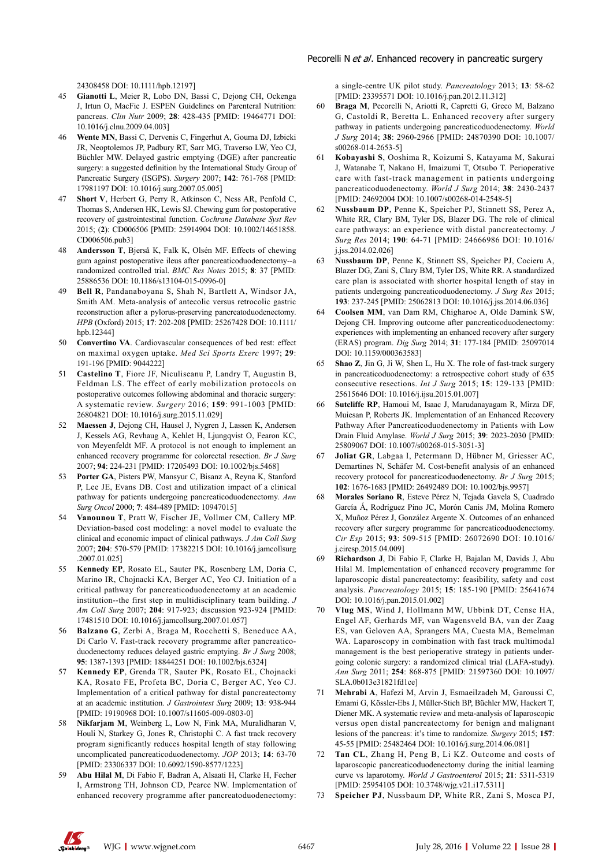24308458 DOI: 10.1111/hpb.12197]

- 45 **Gianotti L**, Meier R, Lobo DN, Bassi C, Dejong CH, Ockenga J, Irtun O, MacFie J. ESPEN Guidelines on Parenteral Nutrition: pancreas. *Clin Nutr* 2009; **28**: 428-435 [PMID: 19464771 DOI: 10.1016/j.clnu.2009.04.003]
- 46 **Wente MN**, Bassi C, Dervenis C, Fingerhut A, Gouma DJ, Izbicki JR, Neoptolemos JP, Padbury RT, Sarr MG, Traverso LW, Yeo CJ, Büchler MW. Delayed gastric emptying (DGE) after pancreatic surgery: a suggested definition by the International Study Group of Pancreatic Surgery (ISGPS). *Surgery* 2007; **142**: 761-768 [PMID: 17981197 DOI: 10.1016/j.surg.2007.05.005]
- 47 **Short V**, Herbert G, Perry R, Atkinson C, Ness AR, Penfold C, Thomas S, Andersen HK, Lewis SJ. Chewing gum for postoperative recovery of gastrointestinal function. *Cochrane Database Syst Rev* 2015; (**2**): CD006506 [PMID: 25914904 DOI: 10.1002/14651858. CD006506.pub3]
- 48 **Andersson T**, Bjerså K, Falk K, Olsén MF. Effects of chewing gum against postoperative ileus after pancreaticoduodenectomy--a randomized controlled trial. *BMC Res Notes* 2015; **8**: 37 [PMID: 25886536 DOI: 10.1186/s13104-015-0996-0]
- 49 **Bell R**, Pandanaboyana S, Shah N, Bartlett A, Windsor JA, Smith AM. Meta-analysis of antecolic versus retrocolic gastric reconstruction after a pylorus-preserving pancreatoduodenectomy. *HPB* (Oxford) 2015; **17**: 202-208 [PMID: 25267428 DOI: 10.1111/ hpb.12344]
- 50 **Convertino VA**. Cardiovascular consequences of bed rest: effect on maximal oxygen uptake. *Med Sci Sports Exerc* 1997; **29**: 191-196 [PMID: 9044222]
- 51 **Castelino T**, Fiore JF, Niculiseanu P, Landry T, Augustin B, Feldman LS. The effect of early mobilization protocols on postoperative outcomes following abdominal and thoracic surgery: A systematic review. *Surgery* 2016; **159**: 991-1003 [PMID: 26804821 DOI: 10.1016/j.surg.2015.11.029]
- 52 **Maessen J**, Dejong CH, Hausel J, Nygren J, Lassen K, Andersen J, Kessels AG, Revhaug A, Kehlet H, Ljungqvist O, Fearon KC, von Meyenfeldt MF. A protocol is not enough to implement an enhanced recovery programme for colorectal resection. *Br J Surg* 2007; **94**: 224-231 [PMID: 17205493 DOI: 10.1002/bjs.5468]
- 53 **Porter GA**, Pisters PW, Mansyur C, Bisanz A, Reyna K, Stanford P, Lee JE, Evans DB. Cost and utilization impact of a clinical pathway for patients undergoing pancreaticoduodenectomy. *Ann Surg Oncol* 2000; **7**: 484-489 [PMID: 10947015]
- 54 **Vanounou T**, Pratt W, Fischer JE, Vollmer CM, Callery MP. Deviation-based cost modeling: a novel model to evaluate the clinical and economic impact of clinical pathways. *J Am Coll Surg* 2007; **204**: 570-579 [PMID: 17382215 DOI: 10.1016/j.jamcollsurg .2007.01.025]
- 55 **Kennedy EP**, Rosato EL, Sauter PK, Rosenberg LM, Doria C, Marino IR, Chojnacki KA, Berger AC, Yeo CJ. Initiation of a critical pathway for pancreaticoduodenectomy at an academic institution--the first step in multidisciplinary team building. *J Am Coll Surg* 2007; **204**: 917-923; discussion 923-924 [PMID: 17481510 DOI: 10.1016/j.jamcollsurg.2007.01.057]
- 56 **Balzano G**, Zerbi A, Braga M, Rocchetti S, Beneduce AA, Di Carlo V. Fast-track recovery programme after pancreaticoduodenectomy reduces delayed gastric emptying. *Br J Surg* 2008; **95**: 1387-1393 [PMID: 18844251 DOI: 10.1002/bjs.6324]
- 57 **Kennedy EP**, Grenda TR, Sauter PK, Rosato EL, Chojnacki KA, Rosato FE, Profeta BC, Doria C, Berger AC, Yeo CJ. Implementation of a critical pathway for distal pancreatectomy at an academic institution. *J Gastrointest Surg* 2009; **13**: 938-944 [PMID: 19190968 DOI: 10.1007/s11605-009-0803-0]
- 58 **Nikfarjam M**, Weinberg L, Low N, Fink MA, Muralidharan V, Houli N, Starkey G, Jones R, Christophi C. A fast track recovery program significantly reduces hospital length of stay following uncomplicated pancreaticoduodenectomy. *JOP* 2013; **14**: 63-70 [PMID: 23306337 DOI: 10.6092/1590-8577/1223]
- 59 **Abu Hilal M**, Di Fabio F, Badran A, Alsaati H, Clarke H, Fecher I, Armstrong TH, Johnson CD, Pearce NW. Implementation of enhanced recovery programme after pancreatoduodenectomy:

a single-centre UK pilot study. *Pancreatology* 2013; **13**: 58-62 [PMID: 23395571 DOI: 10.1016/j.pan.2012.11.312]

- 60 **Braga M**, Pecorelli N, Ariotti R, Capretti G, Greco M, Balzano G, Castoldi R, Beretta L. Enhanced recovery after surgery pathway in patients undergoing pancreaticoduodenectomy. *World J Surg* 2014; **38**: 2960-2966 [PMID: 24870390 DOI: 10.1007/ s00268-014-2653-5]
- 61 **Kobayashi S**, Ooshima R, Koizumi S, Katayama M, Sakurai J, Watanabe T, Nakano H, Imaizumi T, Otsubo T. Perioperative care with fast-track management in patients undergoing pancreaticoduodenectomy. *World J Surg* 2014; **38**: 2430-2437 [PMID: 24692004 DOI: 10.1007/s00268-014-2548-5]
- 62 **Nussbaum DP**, Penne K, Speicher PJ, Stinnett SS, Perez A, White RR, Clary BM, Tyler DS, Blazer DG. The role of clinical care pathways: an experience with distal pancreatectomy. *J Surg Res* 2014; **190**: 64-71 [PMID: 24666986 DOI: 10.1016/ j.jss.2014.02.026]
- 63 **Nussbaum DP**, Penne K, Stinnett SS, Speicher PJ, Cocieru A, Blazer DG, Zani S, Clary BM, Tyler DS, White RR. A standardized care plan is associated with shorter hospital length of stay in patients undergoing pancreaticoduodenectomy. *J Surg Res* 2015; **193**: 237-245 [PMID: 25062813 DOI: 10.1016/j.jss.2014.06.036]
- 64 **Coolsen MM**, van Dam RM, Chigharoe A, Olde Damink SW, Dejong CH. Improving outcome after pancreaticoduodenectomy: experiences with implementing an enhanced recovery after surgery (ERAS) program. *Dig Surg* 2014; **31**: 177-184 [PMID: 25097014 DOI: 10.1159/000363583]
- Shao Z, Jin G, Ji W, Shen L, Hu X. The role of fast-track surgery in pancreaticoduodenectomy: a retrospective cohort study of 635 consecutive resections. *Int J Surg* 2015; **15**: 129-133 [PMID: 25615646 DOI: 10.1016/j.ijsu.2015.01.007]
- 66 **Sutcliffe RP**, Hamoui M, Isaac J, Marudanayagam R, Mirza DF, Muiesan P, Roberts JK. Implementation of an Enhanced Recovery Pathway After Pancreaticoduodenectomy in Patients with Low Drain Fluid Amylase. *World J Surg* 2015; **39**: 2023-2030 [PMID: 25809067 DOI: 10.1007/s00268-015-3051-3]
- 67 **Joliat GR**, Labgaa I, Petermann D, Hübner M, Griesser AC, Demartines N, Schäfer M. Cost-benefit analysis of an enhanced recovery protocol for pancreaticoduodenectomy. *Br J Surg* 2015; **102**: 1676-1683 [PMID: 26492489 DOI: 10.1002/bjs.9957]
- 68 **Morales Soriano R**, Esteve Pérez N, Tejada Gavela S, Cuadrado García Á, Rodríguez Pino JC, Morón Canis JM, Molina Romero X, Muñoz Pérez J, González Argente X. Outcomes of an enhanced recovery after surgery programme for pancreaticoduodenectomy. *Cir Esp* 2015; **93**: 509-515 [PMID: 26072690 DOI: 10.1016/ j.ciresp.2015.04.009]
- 69 **Richardson J**, Di Fabio F, Clarke H, Bajalan M, Davids J, Abu Hilal M. Implementation of enhanced recovery programme for laparoscopic distal pancreatectomy: feasibility, safety and cost analysis. *Pancreatology* 2015; **15**: 185-190 [PMID: 25641674 DOI: 10.1016/j.pan.2015.01.002]
- 70 **Vlug MS**, Wind J, Hollmann MW, Ubbink DT, Cense HA, Engel AF, Gerhards MF, van Wagensveld BA, van der Zaag ES, van Geloven AA, Sprangers MA, Cuesta MA, Bemelman WA. Laparoscopy in combination with fast track multimodal management is the best perioperative strategy in patients undergoing colonic surgery: a randomized clinical trial (LAFA-study). *Ann Surg* 2011; **254**: 868-875 [PMID: 21597360 DOI: 10.1097/ SLA.0b013e31821fd1ce]
- 71 **Mehrabi A**, Hafezi M, Arvin J, Esmaeilzadeh M, Garoussi C, Emami G, Kössler-Ebs J, Müller-Stich BP, Büchler MW, Hackert T, Diener MK. A systematic review and meta-analysis of laparoscopic versus open distal pancreatectomy for benign and malignant lesions of the pancreas: it's time to randomize. *Surgery* 2015; **157**: 45-55 [PMID: 25482464 DOI: 10.1016/j.surg.2014.06.081]
- Tan CL, Zhang H, Peng B, Li KZ. Outcome and costs of laparoscopic pancreaticoduodenectomy during the initial learning curve vs laparotomy. *World J Gastroenterol* 2015; **21**: 5311-5319 [PMID: 25954105 DOI: 10.3748/wjg.v21.i17.5311]
- 73 **Speicher PJ**, Nussbaum DP, White RR, Zani S, Mosca PJ,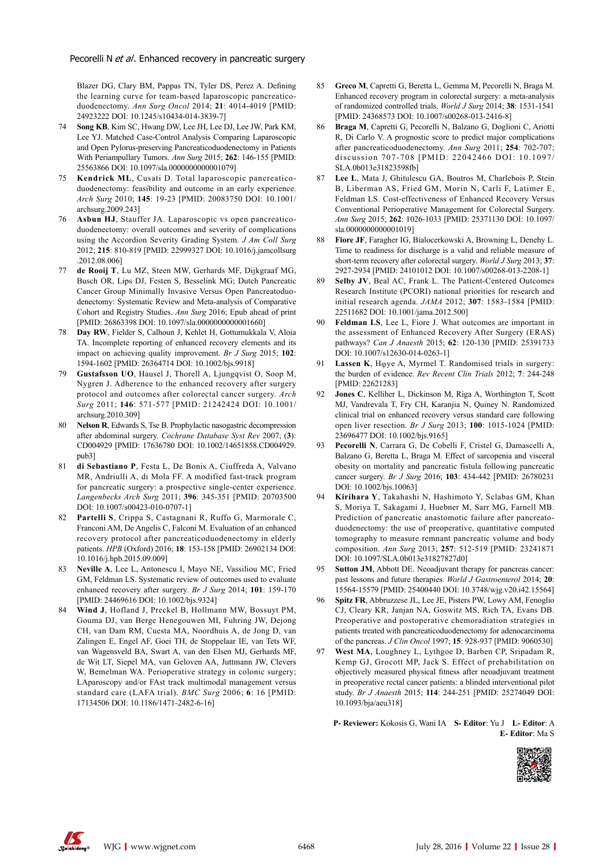Blazer DG, Clary BM, Pappas TN, Tyler DS, Perez A. Defining the learning curve for team-based laparoscopic pancreaticoduodenectomy. *Ann Surg Oncol* 2014; **21**: 4014-4019 [PMID: 24923222 DOI: 10.1245/s10434-014-3839-7]

- 74 **Song KB**, Kim SC, Hwang DW, Lee JH, Lee DJ, Lee JW, Park KM, Lee YJ. Matched Case-Control Analysis Comparing Laparoscopic and Open Pylorus-preserving Pancreaticoduodenectomy in Patients With Periampullary Tumors. *Ann Surg* 2015; **262**: 146-155 [PMID: 25563866 DOI: 10.1097/sla.0000000000001079]
- Kendrick ML, Cusati D. Total laparoscopic pancreaticoduodenectomy: feasibility and outcome in an early experience. *Arch Surg* 2010; **145**: 19-23 [PMID: 20083750 DOI: 10.1001/ archsurg.2009.243]
- 76 **Asbun HJ**, Stauffer JA. Laparoscopic vs open pancreaticoduodenectomy: overall outcomes and severity of complications using the Accordion Severity Grading System. *J Am Coll Surg* 2012; **215**: 810-819 [PMID: 22999327 DOI: 10.1016/j.jamcollsurg .2012.08.006]
- de Rooij T, Lu MZ, Steen MW, Gerhards MF, Dijkgraaf MG, Busch OR, Lips DJ, Festen S, Besselink MG; Dutch Pancreatic Cancer Group Minimally Invasive Versus Open Pancreatoduodenectomy: Systematic Review and Meta-analysis of Comparative Cohort and Registry Studies. *Ann Surg* 2016; Epub ahead of print [PMID: 26863398 DOI: 10.1097/sla.0000000000001660]
- 78 **Day RW**, Fielder S, Calhoun J, Kehlet H, Gottumukkala V, Aloia TA. Incomplete reporting of enhanced recovery elements and its impact on achieving quality improvement. *Br J Surg* 2015; **102**: 1594-1602 [PMID: 26364714 DOI: 10.1002/bjs.9918]
- 79 **Gustafsson UO**, Hausel J, Thorell A, Ljungqvist O, Soop M, Nygren J. Adherence to the enhanced recovery after surgery protocol and outcomes after colorectal cancer surgery. *Arch Surg* 2011; **146**: 571-577 [PMID: 21242424 DOI: 10.1001/ archsurg.2010.309]
- 80 **Nelson R**, Edwards S, Tse B. Prophylactic nasogastric decompression after abdominal surgery. *Cochrane Database Syst Rev* 2007; (**3**): CD004929 [PMID: 17636780 DOI: 10.1002/14651858.CD004929. pub3]
- 81 **di Sebastiano P**, Festa L, De Bonis A, Ciuffreda A, Valvano MR, Andriulli A, di Mola FF. A modified fast-track program for pancreatic surgery: a prospective single-center experience. *Langenbecks Arch Surg* 2011; **396**: 345-351 [PMID: 20703500 DOI: 10.1007/s00423-010-0707-1]
- 82 **Partelli S**, Crippa S, Castagnani R, Ruffo G, Marmorale C, Franconi AM, De Angelis C, Falconi M. Evaluation of an enhanced recovery protocol after pancreaticoduodenectomy in elderly patients. *HPB* (Oxford) 2016; **18**: 153-158 [PMID: 26902134 DOI: 10.1016/j.hpb.2015.09.009]
- 83 **Neville A**, Lee L, Antonescu I, Mayo NE, Vassiliou MC, Fried GM, Feldman LS. Systematic review of outcomes used to evaluate enhanced recovery after surgery. *Br J Surg* 2014; **101**: 159-170 [PMID: 24469616 DOI: 10.1002/bjs.9324]
- 84 **Wind J**, Hofland J, Preckel B, Hollmann MW, Bossuyt PM, Gouma DJ, van Berge Henegouwen MI, Fuhring JW, Dejong CH, van Dam RM, Cuesta MA, Noordhuis A, de Jong D, van Zalingen E, Engel AF, Goei TH, de Stoppelaar IE, van Tets WF, van Wagensveld BA, Swart A, van den Elsen MJ, Gerhards MF, de Wit LT, Siepel MA, van Geloven AA, Juttmann JW, Clevers W, Bemelman WA. Perioperative strategy in colonic surgery; LAparoscopy and/or FAst track multimodal management versus standard care (LAFA trial). *BMC Surg* 2006; **6**: 16 [PMID: 17134506 DOI: 10.1186/1471-2482-6-16]
- 85 **Greco M**, Capretti G, Beretta L, Gemma M, Pecorelli N, Braga M. Enhanced recovery program in colorectal surgery: a meta-analysis of randomized controlled trials. *World J Surg* 2014; **38**: 1531-1541 [PMID: 24368573 DOI: 10.1007/s00268-013-2416-8]
- 86 **Braga M**, Capretti G, Pecorelli N, Balzano G, Doglioni C, Ariotti R, Di Carlo V. A prognostic score to predict major complications after pancreaticoduodenectomy. *Ann Surg* 2011; **254**: 702-707; discussion 707-708 [PMID: 22042466 DOI: 10.1097/ SLA.0b013e31823598fb]
- Lee L, Mata J, Ghitulescu GA, Boutros M, Charlebois P, Stein B, Liberman AS, Fried GM, Morin N, Carli F, Latimer E, Feldman LS. Cost-effectiveness of Enhanced Recovery Versus Conventional Perioperative Management for Colorectal Surgery. *Ann Surg* 2015; **262**: 1026-1033 [PMID: 25371130 DOI: 10.1097/ sla.0000000000001019]
- 88 **Fiore JF**, Faragher IG, Bialocerkowski A, Browning L, Denehy L. Time to readiness for discharge is a valid and reliable measure of short-term recovery after colorectal surgery. *World J Surg* 2013; **37**: 2927-2934 [PMID: 24101012 DOI: 10.1007/s00268-013-2208-1]
- 89 **Selby JV**, Beal AC, Frank L. The Patient-Centered Outcomes Research Institute (PCORI) national priorities for research and initial research agenda. *JAMA* 2012; **307**: 1583-1584 [PMID: 22511682 DOI: 10.1001/jama.2012.500]
- 90 **Feldman LS**, Lee L, Fiore J. What outcomes are important in the assessment of Enhanced Recovery After Surgery (ERAS) pathways? *Can J Anaesth* 2015; **62**: 120-130 [PMID: 25391733 DOI: 10.1007/s12630-014-0263-1]
- Lassen K, H<sub>o</sub>ye A, Myrmel T. Randomised trials in surgery: the burden of evidence. *Rev Recent Clin Trials* 2012; **7**: 244-248 [PMID: 22621283]
- 92 **Jones C**, Kelliher L, Dickinson M, Riga A, Worthington T, Scott MJ, Vandrevala T, Fry CH, Karanjia N, Quiney N. Randomized clinical trial on enhanced recovery versus standard care following open liver resection. *Br J Surg* 2013; **100**: 1015-1024 [PMID: 23696477 DOI: 10.1002/bjs.9165]
- 93 **Pecorelli N**, Carrara G, De Cobelli F, Cristel G, Damascelli A, Balzano G, Beretta L, Braga M. Effect of sarcopenia and visceral obesity on mortality and pancreatic fistula following pancreatic cancer surgery. *Br J Surg* 2016; **103**: 434-442 [PMID: 26780231 DOI: 10.1002/bjs.10063]
- 94 **Kirihara Y**, Takahashi N, Hashimoto Y, Sclabas GM, Khan S, Moriya T, Sakagami J, Huebner M, Sarr MG, Farnell MB. Prediction of pancreatic anastomotic failure after pancreatoduodenectomy: the use of preoperative, quantitative computed tomography to measure remnant pancreatic volume and body composition. *Ann Surg* 2013; **257**: 512-519 [PMID: 23241871 DOI: 10.1097/SLA.0b013e31827827d0]
- 95 **Sutton JM**, Abbott DE. Neoadjuvant therapy for pancreas cancer: past lessons and future therapies. *World J Gastroenterol* 2014; **20**: 15564-15579 [PMID: 25400440 DOI: 10.3748/wjg.v20.i42.15564]
- Spitz FR, Abbruzzese JL, Lee JE, Pisters PW, Lowy AM, Fenoglio CJ, Cleary KR, Janjan NA, Goswitz MS, Rich TA, Evans DB. Preoperative and postoperative chemoradiation strategies in patients treated with pancreaticoduodenectomy for adenocarcinoma of the pancreas. *J Clin Oncol* 1997; **15**: 928-937 [PMID: 9060530]
- West MA, Loughney L, Lythgoe D, Barben CP, Sripadam R, Kemp GJ, Grocott MP, Jack S. Effect of prehabilitation on objectively measured physical fitness after neoadjuvant treatment in preoperative rectal cancer patients: a blinded interventional pilot study. *Br J Anaesth* 2015; **114**: 244-251 [PMID: 25274049 DOI: 10.1093/bja/aeu318]

**P- Reviewer:** Kokosis G, Wani IA **S- Editor**: Yu J **L- Editor**: A **E- Editor**: Ma S